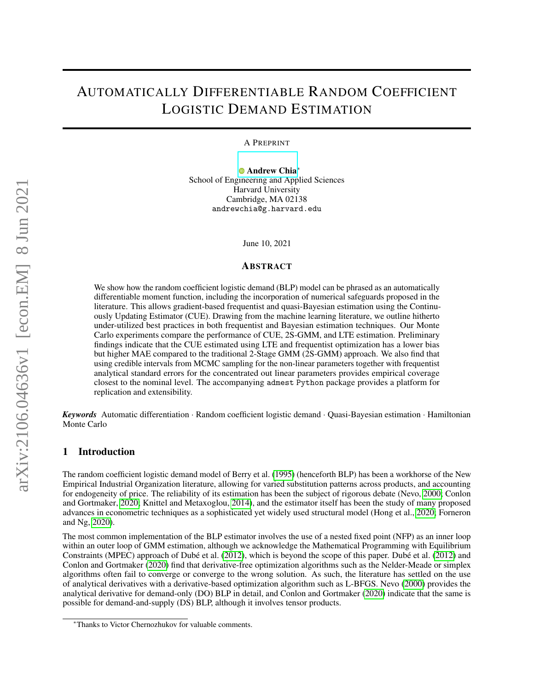# AUTOMATICALLY DIFFERENTIABLE RANDOM COEFFICIENT LOGISTIC DEMAND ESTIMATION

A PREPRINT

[Andrew Chia](https://orcid.org/0000-0001-9924-0351)<sup>∗</sup> School of Engineering and Applied Sciences Harvard University Cambridge, MA 02138 andrewchia@g.harvard.edu

June 10, 2021

# ABSTRACT

We show how the random coefficient logistic demand (BLP) model can be phrased as an automatically differentiable moment function, including the incorporation of numerical safeguards proposed in the literature. This allows gradient-based frequentist and quasi-Bayesian estimation using the Continuously Updating Estimator (CUE). Drawing from the machine learning literature, we outline hitherto under-utilized best practices in both frequentist and Bayesian estimation techniques. Our Monte Carlo experiments compare the performance of CUE, 2S-GMM, and LTE estimation. Preliminary findings indicate that the CUE estimated using LTE and frequentist optimization has a lower bias but higher MAE compared to the traditional 2-Stage GMM (2S-GMM) approach. We also find that using credible intervals from MCMC sampling for the non-linear parameters together with frequentist analytical standard errors for the concentrated out linear parameters provides empirical coverage closest to the nominal level. The accompanying admest Python package provides a platform for replication and extensibility.

*Keywords* Automatic differentiation · Random coefficient logistic demand · Quasi-Bayesian estimation · Hamiltonian Monte Carlo

# 1 Introduction

The random coefficient logistic demand model of Berry et al. [\(1995\)](#page-14-0) (henceforth BLP) has been a workhorse of the New Empirical Industrial Organization literature, allowing for varied substitution patterns across products, and accounting for endogeneity of price. The reliability of its estimation has been the subject of rigorous debate (Nevo, [2000;](#page-15-0) Conlon and Gortmaker, [2020;](#page-14-1) Knittel and Metaxoglou, [2014\)](#page-14-2), and the estimator itself has been the study of many proposed advances in econometric techniques as a sophisticated yet widely used structural model (Hong et al., [2020;](#page-14-3) Forneron and Ng, [2020\)](#page-14-4).

The most common implementation of the BLP estimator involves the use of a nested fixed point (NFP) as an inner loop within an outer loop of GMM estimation, although we acknowledge the Mathematical Programming with Equilibrium Constraints (MPEC) approach of Dubé et al. [\(2012\)](#page-14-5), which is beyond the scope of this paper. Dubé et al. [\(2012\)](#page-14-5) and Conlon and Gortmaker [\(2020\)](#page-14-1) find that derivative-free optimization algorithms such as the Nelder-Meade or simplex algorithms often fail to converge or converge to the wrong solution. As such, the literature has settled on the use of analytical derivatives with a derivative-based optimization algorithm such as L-BFGS. Nevo [\(2000\)](#page-15-0) provides the analytical derivative for demand-only (DO) BLP in detail, and Conlon and Gortmaker [\(2020\)](#page-14-1) indicate that the same is possible for demand-and-supply (DS) BLP, although it involves tensor products.

<sup>∗</sup>Thanks to Victor Chernozhukov for valuable comments.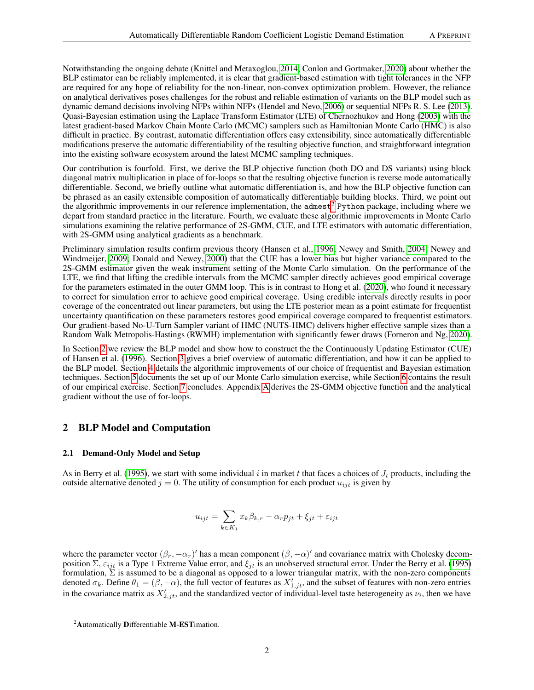Notwithstanding the ongoing debate (Knittel and Metaxoglou, [2014;](#page-14-2) Conlon and Gortmaker, [2020\)](#page-14-1) about whether the BLP estimator can be reliably implemented, it is clear that gradient-based estimation with tight tolerances in the NFP are required for any hope of reliability for the non-linear, non-convex optimization problem. However, the reliance on analytical derivatives poses challenges for the robust and reliable estimation of variants on the BLP model such as dynamic demand decisions involving NFPs within NFPs (Hendel and Nevo, [2006\)](#page-14-6) or sequential NFPs R. S. Lee [\(2013\)](#page-14-7). Quasi-Bayesian estimation using the Laplace Transform Estimator (LTE) of Chernozhukov and Hong [\(2003\)](#page-14-8) with the latest gradient-based Markov Chain Monte Carlo (MCMC) samplers such as Hamiltonian Monte Carlo (HMC) is also difficult in practice. By contrast, automatic differentiation offers easy extensibility, since automatically differentiable modifications preserve the automatic differentiability of the resulting objective function, and straightforward integration into the existing software ecosystem around the latest MCMC sampling techniques.

Our contribution is fourfold. First, we derive the BLP objective function (both DO and DS variants) using block diagonal matrix multiplication in place of for-loops so that the resulting objective function is reverse mode automatically differentiable. Second, we briefly outline what automatic differentiation is, and how the BLP objective function can be phrased as an easily extensible composition of automatically differentiable building blocks. Third, we point out the algorithmic improvements in our reference implementation, the admest<sup>[2](#page-1-0)</sup> Python package, including where we depart from standard practice in the literature. Fourth, we evaluate these algorithmic improvements in Monte Carlo simulations examining the relative performance of 2S-GMM, CUE, and LTE estimators with automatic differentiation, with 2S-GMM using analytical gradients as a benchmark.

Preliminary simulation results confirm previous theory (Hansen et al., [1996;](#page-14-9) Newey and Smith, [2004;](#page-15-1) Newey and Windmeijer, [2009;](#page-15-2) Donald and Newey, [2000\)](#page-14-10) that the CUE has a lower bias but higher variance compared to the 2S-GMM estimator given the weak instrument setting of the Monte Carlo simulation. On the performance of the LTE, we find that lifting the credible intervals from the MCMC sampler directly achieves good empirical coverage for the parameters estimated in the outer GMM loop. This is in contrast to Hong et al. [\(2020\)](#page-14-3), who found it necessary to correct for simulation error to achieve good empirical coverage. Using credible intervals directly results in poor coverage of the concentrated out linear parameters, but using the LTE posterior mean as a point estimate for frequentist uncertainty quantification on these parameters restores good empirical coverage compared to frequentist estimators. Our gradient-based No-U-Turn Sampler variant of HMC (NUTS-HMC) delivers higher effective sample sizes than a Random Walk Metropolis-Hastings (RWMH) implementation with significantly fewer draws (Forneron and Ng, [2020\)](#page-14-4).

In Section [2](#page-1-1) we review the BLP model and show how to construct the the Continuously Updating Estimator (CUE) of Hansen et al. [\(1996\)](#page-14-9). Section [3](#page-6-0) gives a brief overview of automatic differentiation, and how it can be applied to the BLP model. Section [4](#page-9-0) details the algorithmic improvements of our choice of frequentist and Bayesian estimation techniques. Section [5](#page-11-0) documents the set up of our Monte Carlo simulation exercise, while Section [6](#page-12-0) contains the result of our empirical exercise. Section [7](#page-13-0) concludes. Appendix [A](#page-16-0) derives the 2S-GMM objective function and the analytical gradient without the use of for-loops.

# <span id="page-1-1"></span>2 BLP Model and Computation

# <span id="page-1-2"></span>2.1 Demand-Only Model and Setup

As in Berry et al. [\(1995\)](#page-14-0), we start with some individual i in market t that faces a choices of  $J_t$  products, including the outside alternative denoted  $j = 0$ . The utility of consumption for each product  $u_{ijt}$  is given by

$$
u_{ijt} = \sum_{k \in K_1} x_k \beta_{k,r} - \alpha_r p_{jt} + \xi_{jt} + \varepsilon_{ijt}
$$

where the parameter vector  $(\beta_r, -\alpha_r)'$  has a mean component  $(\beta, -\alpha)'$  and covariance matrix with Cholesky decomposition Σ,  $\varepsilon_{ijt}$  is a Type 1 Extreme Value error, and  $\xi_{jt}$  is an unobserved structural error. Under the Berry et al. [\(1995\)](#page-14-0) formulation,  $\Sigma$  is assumed to be a diagonal as opposed to a lower triangular matrix, with the non-zero components denoted  $\sigma_k$ . Define  $\theta_1 = (\beta, -\alpha)$ , the full vector of features as  $X'_{1,jt}$ , and the subset of features with non-zero entries in the covariance matrix as  $X'_{2,jt}$ , and the standardized vector of individual-level taste heterogeneity as  $\nu_i$ , then we have

<span id="page-1-0"></span><sup>&</sup>lt;sup>2</sup>Automatically Differentiable M-EST imation.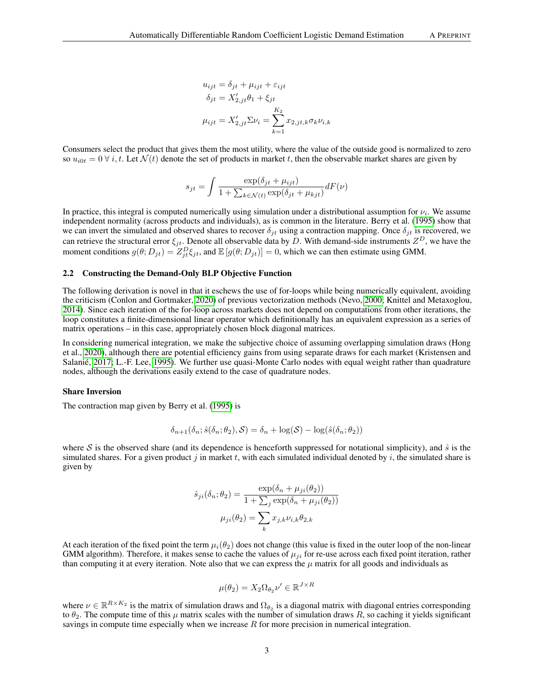$$
u_{ijt} = \delta_{jt} + \mu_{ijt} + \varepsilon_{ijt}
$$

$$
\delta_{jt} = X'_{2,jt}\theta_1 + \xi_{jt}
$$

$$
\mu_{ijt} = X'_{2,jt}\Sigma\nu_i = \sum_{k=1}^{K_2} x_{2,jt,k}\sigma_k\nu_{i,k}
$$

Consumers select the product that gives them the most utility, where the value of the outside good is normalized to zero so  $u_{i0t} = 0 \forall i, t$ . Let  $\mathcal{N}(t)$  denote the set of products in market t, then the observable market shares are given by

$$
s_{jt} = \int \frac{\exp(\delta_{jt} + \mu_{ijt})}{1 + \sum_{k \in \mathcal{N}(t)} \exp(\delta_{jt} + \mu_{kjt})} dF(\nu)
$$

In practice, this integral is computed numerically using simulation under a distributional assumption for  $\nu_i$ . We assume independent normality (across products and individuals), as is common in the literature. Berry et al. [\(1995\)](#page-14-0) show that we can invert the simulated and observed shares to recover  $\delta_{it}$  using a contraction mapping. Once  $\delta_{it}$  is recovered, we can retrieve the structural error  $\xi_{jt}$ . Denote all observable data by D. With demand-side instruments  $Z^D$ , we have the moment conditions  $g(\theta; D_{jt}) = Z_{jt}^D \xi_{jt}$ , and  $\mathbb{E}[g(\theta; D_{jt})] = 0$ , which we can then estimate using GMM.

## <span id="page-2-0"></span>2.2 Constructing the Demand-Only BLP Objective Function

The following derivation is novel in that it eschews the use of for-loops while being numerically equivalent, avoiding the criticism (Conlon and Gortmaker, [2020\)](#page-14-1) of previous vectorization methods (Nevo, [2000;](#page-15-0) Knittel and Metaxoglou, [2014\)](#page-14-2). Since each iteration of the for-loop across markets does not depend on computations from other iterations, the loop constitutes a finite-dimensional linear operator which definitionally has an equivalent expression as a series of matrix operations – in this case, appropriately chosen block diagonal matrices.

In considering numerical integration, we make the subjective choice of assuming overlapping simulation draws (Hong et al., [2020\)](#page-14-3), although there are potential efficiency gains from using separate draws for each market (Kristensen and Salanié, [2017;](#page-14-11) L.-F. Lee, [1995\)](#page-14-12). We further use quasi-Monte Carlo nodes with equal weight rather than quadrature nodes, although the derivations easily extend to the case of quadrature nodes.

#### Share Inversion

The contraction map given by Berry et al. [\(1995\)](#page-14-0) is

$$
\delta_{n+1}(\delta_n; \hat{s}(\delta_n; \theta_2), \mathcal{S}) = \delta_n + \log(\mathcal{S}) - \log(\hat{s}(\delta_n; \theta_2))
$$

where S is the observed share (and its dependence is henceforth suppressed for notational simplicity), and  $\hat{s}$  is the simulated shares. For a given product j in market t, with each simulated individual denoted by i, the simulated share is given by

$$
\hat{s}_{ji}(\delta_n; \theta_2) = \frac{\exp(\delta_n + \mu_{ji}(\theta_2))}{1 + \sum_j \exp(\delta_n + \mu_{ji}(\theta_2))}
$$

$$
\mu_{ji}(\theta_2) = \sum_k x_{j,k} \nu_{i,k} \theta_{2,k}
$$

At each iteration of the fixed point the term  $\mu_i(\theta_2)$  does not change (this value is fixed in the outer loop of the non-linear GMM algorithm). Therefore, it makes sense to cache the values of  $\mu_{ji}$  for re-use across each fixed point iteration, rather than computing it at every iteration. Note also that we can express the  $\mu$  matrix for all goods and individuals as

$$
\mu(\theta_2) = X_2 \Omega_{\theta_2} \nu' \in \mathbb{R}^{J \times R}
$$

where  $\nu \in \mathbb{R}^{R \times K_2}$  is the matrix of simulation draws and  $\Omega_{\theta_2}$  is a diagonal matrix with diagonal entries corresponding to  $\theta_2$ . The compute time of this  $\mu$  matrix scales with the number of simulation draws R, so caching it yields significant savings in compute time especially when we increase  $R$  for more precision in numerical integration.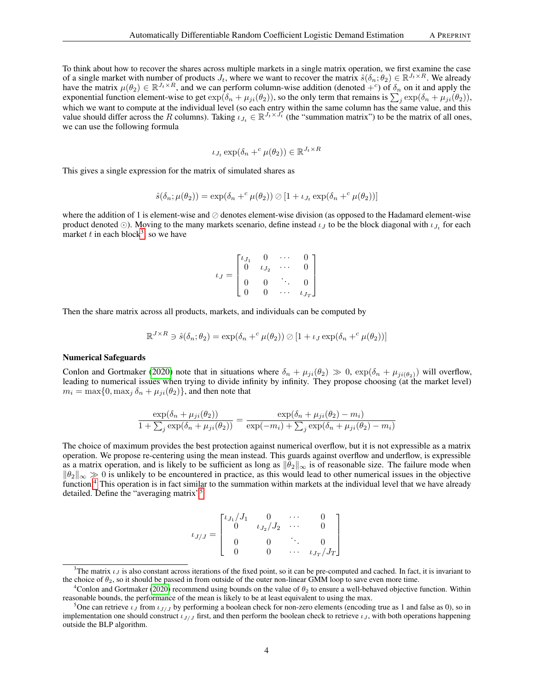To think about how to recover the shares across multiple markets in a single matrix operation, we first examine the case of a single market with number of products  $J_t$ , where we want to recover the matrix  $\hat{s}(\delta_n;\theta_2) \in \mathbb{R}^{J_t \times R}$ . We already have the matrix  $\mu(\theta_2) \in \mathbb{R}^{J_t \times R}$ , and we can perform column-wise addition (denoted  $+^c$ ) of  $\delta_n$  on it and apply the exponential function element-wise to get  $\exp(\delta_n + \mu_{ji}(\theta_2))$ , so the only term that remains is  $\sum_j \exp(\delta_n + \mu_{ji}(\theta_2))$ , which we want to compute at the individual level (so each entry within the same column has the same value, and this value should differ across the R columns). Taking  $i_{J_t} \in \mathbb{R}^{J_t \times J_t}$  (the "summation matrix") to be the matrix of all ones, we can use the following formula

$$
\iota_{J_t} \exp(\delta_n +^c \mu(\theta_2)) \in \mathbb{R}^{J_t \times R}
$$

This gives a single expression for the matrix of simulated shares as

$$
\hat{s}(\delta_n;\mu(\theta_2)) = \exp(\delta_n +^c \mu(\theta_2)) \oslash [1 + \iota_{J_t} \exp(\delta_n +^c \mu(\theta_2))]
$$

where the addition of 1 is element-wise and  $\oslash$  denotes element-wise division (as opposed to the Hadamard element-wise product denoted  $\odot$ ). Moving to the many markets scenario, define instead  $\iota_J$  to be the block diagonal with  $\iota_{J_t}$  for each market  $t$  in each block<sup>[3](#page-3-0)</sup>, so we have

$$
\iota_J = \begin{bmatrix} \iota_{J_1} & 0 & \cdots & 0 \\ 0 & \iota_{J_2} & \cdots & 0 \\ 0 & 0 & \ddots & 0 \\ 0 & 0 & \cdots & \iota_{J_T} \end{bmatrix}
$$

Then the share matrix across all products, markets, and individuals can be computed by

$$
\mathbb{R}^{J \times R} \ni \hat{s}(\delta_n; \theta_2) = \exp(\delta_n +^c \mu(\theta_2)) \oslash [1 + \iota_J \exp(\delta_n +^c \mu(\theta_2))]
$$

### Numerical Safeguards

Conlon and Gortmaker [\(2020\)](#page-14-1) note that in situations where  $\delta_n + \mu_{ji}(\theta_2) \gg 0$ ,  $\exp(\delta_n + \mu_{ji}(\theta_2))$  will overflow, leading to numerical issues when trying to divide infinity by infinity. They propose choosing (at the market level)  $m_i = \max\{0, \max_j \delta_n + \mu_{ji}(\theta_2)\}\)$ , and then note that

$$
\frac{\exp(\delta_n + \mu_{ji}(\theta_2))}{1 + \sum_j \exp(\delta_n + \mu_{ji}(\theta_2))} = \frac{\exp(\delta_n + \mu_{ji}(\theta_2) - m_i)}{\exp(-m_i) + \sum_j \exp(\delta_n + \mu_{ji}(\theta_2) - m_i)}
$$

The choice of maximum provides the best protection against numerical overflow, but it is not expressible as a matrix operation. We propose re-centering using the mean instead. This guards against overflow and underflow, is expressible as a matrix operation, and is likely to be sufficient as long as  $\|\bar{\theta}_2\|_{\infty}$  is of reasonable size. The failure mode when  $\|\theta_2\|_{\infty} \gg 0$  is unlikely to be encountered in practice, as this would lead to other numerical issues in the objective function.<sup>[4](#page-3-1)</sup> This operation is in fact similar to the summation within markets at the individual level that we have already detailed. Define the "averaging matrix"<sup>[5](#page-3-2)</sup>

$$
\iota_{J/J} = \begin{bmatrix} \iota_{J_1}/J_1 & 0 & \cdots & 0 \\ 0 & \iota_{J_2}/J_2 & \cdots & 0 \\ 0 & 0 & \ddots & 0 \\ 0 & 0 & \cdots & \iota_{J_T}/J_T \end{bmatrix}
$$

<span id="page-3-0"></span><sup>&</sup>lt;sup>3</sup>The matrix  $\iota_J$  is also constant across iterations of the fixed point, so it can be pre-computed and cached. In fact, it is invariant to the choice of  $\theta_2$ , so it should be passed in from outside of the outer non-linear GMM loop to save even more time.

<span id="page-3-1"></span><sup>&</sup>lt;sup>4</sup>Conlon and Gortmaker [\(2020\)](#page-14-1) recommend using bounds on the value of  $\theta_2$  to ensure a well-behaved objective function. Within reasonable bounds, the performance of the mean is likely to be at least equivalent to using the max.

<span id="page-3-2"></span><sup>&</sup>lt;sup>5</sup>One can retrieve  $\iota_J$  from  $\iota_{J/J}$  by performing a boolean check for non-zero elements (encoding true as 1 and false as 0), so in implementation one should construct  $\iota_{J/J}$  first, and then perform the boolean check to retrieve  $\iota_J$ , with both operations happening outside the BLP algorithm.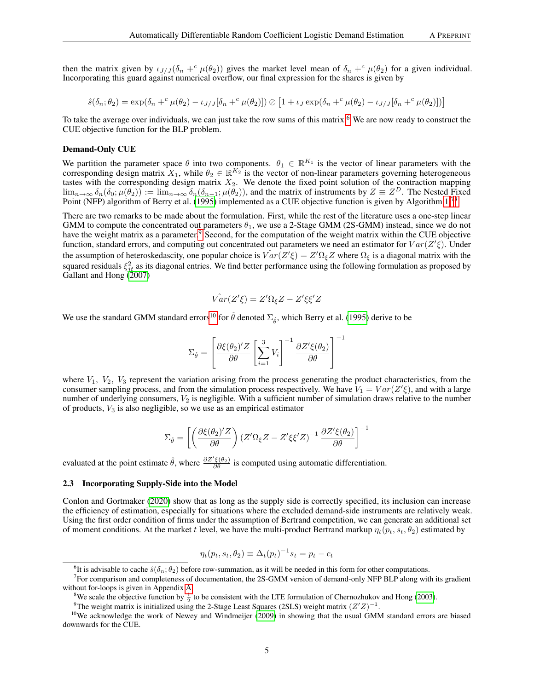then the matrix given by  $\iota_{J/J}(\delta_n + c \mu(\theta_2))$  gives the market level mean of  $\delta_n + c \mu(\theta_2)$  for a given individual. Incorporating this guard against numerical overflow, our final expression for the shares is given by

$$
\hat{s}(\delta_n;\theta_2) = \exp(\delta_n + ^c \mu(\theta_2) - \iota_{J/J}[\delta_n + ^c \mu(\theta_2)]) \oslash [1 + \iota_J \exp(\delta_n + ^c \mu(\theta_2) - \iota_{J/J}[\delta_n + ^c \mu(\theta_2)])]
$$

To take the average over individuals, we can just take the row sums of this matrix.<sup>[6](#page-4-0)</sup> We are now ready to construct the CUE objective function for the BLP problem.

#### Demand-Only CUE

We partition the parameter space  $\theta$  into two components.  $\theta_1 \in \mathbb{R}^{K_1}$  is the vector of linear parameters with the corresponding design matrix  $X_1$ , while  $\theta_2 \in \mathbb{R}^{K_2}$  is the vector of non-linear parameters governing heterogeneous tastes with the corresponding design matrix  $X_2$ . We denote the fixed point solution of the contraction mapping  $\lim_{n\to\infty} \delta_n(\delta_0;\mu(\theta_2)) := \lim_{n\to\infty} \delta_n(\delta_{n-1};\mu(\theta_2))$ , and the matrix of instruments by  $Z \equiv Z^D$ . The Nested Fixed Point (NFP) algorithm of Berry et al. [\(1995\)](#page-14-0) implemented as a CUE objective function is given by Algorithm [1.](#page-5-0)[7](#page-4-1)[8](#page-4-2)

There are two remarks to be made about the formulation. First, while the rest of the literature uses a one-step linear GMM to compute the concentrated out parameters  $\theta_1$ , we use a 2-Stage GMM (2S-GMM) instead, since we do not have the weight matrix as a parameter.<sup>[9](#page-4-3)</sup> Second, for the computation of the weight matrix within the CUE objective function, standard errors, and computing out concentrated out parameters we need an estimator for  $Var(Z'\xi)$ . Under the assumption of heteroskedascity, one popular choice is  $\hat{Var}(Z'\xi) = Z'\Omega_{\xi}Z$  where  $\Omega_{\xi}$  is a diagonal matrix with the squared residuals  $\xi_{jt}^2$  as its diagonal entries. We find better performance using the following formulation as proposed by Gallant and Hong [\(2007\)](#page-14-13)

$$
\hat{Var}(Z'\xi) = Z'\Omega_{\xi}Z - Z'\xi\xi'Z
$$

We use the standard GMM standard errors<sup>[10](#page-4-4)</sup> for  $\hat{\theta}$  denoted  $\Sigma_{\hat{\theta}}$ , which Berry et al. [\(1995\)](#page-14-0) derive to be

$$
\Sigma_{\hat{\theta}} = \left[ \frac{\partial \xi(\theta_2)'Z}{\partial \theta} \left[ \sum_{i=1}^3 V_i \right]^{-1} \frac{\partial Z' \xi(\theta_2)}{\partial \theta} \right]^{-1}
$$

where  $V_1$ ,  $V_2$ ,  $V_3$  represent the variation arising from the process generating the product characteristics, from the consumer sampling process, and from the simulation process respectively. We have  $V_1 = Var(Z'\xi)$ , and with a large number of underlying consumers,  $V_2$  is negligible. With a sufficient number of simulation draws relative to the number of products,  $V_3$  is also negligible, so we use as an empirical estimator

$$
\Sigma_{\hat{\theta}} = \left[ \left( \frac{\partial \xi(\theta_2)'Z}{\partial \theta} \right) \left( Z'\Omega_{\xi}Z - Z'\xi\xi'Z \right)^{-1} \frac{\partial Z'\xi(\theta_2)}{\partial \theta} \right]^{-1}
$$

evaluated at the point estimate  $\hat{\theta}$ , where  $\frac{\partial Z'\xi(\theta_2)}{\partial \theta}$  is computed using automatic differentiation.

## 2.3 Incorporating Supply-Side into the Model

Conlon and Gortmaker [\(2020\)](#page-14-1) show that as long as the supply side is correctly specified, its inclusion can increase the efficiency of estimation, especially for situations where the excluded demand-side instruments are relatively weak. Using the first order condition of firms under the assumption of Bertrand competition, we can generate an additional set of moment conditions. At the market t level, we have the multi-product Bertrand markup  $\eta_t(p_t, s_t, \theta_2)$  estimated by

$$
\eta_t(p_t, s_t, \theta_2) \equiv \Delta_t(p_t)^{-1} s_t = p_t - c_t
$$

<span id="page-4-1"></span><span id="page-4-0"></span><sup>&</sup>lt;sup>6</sup>It is advisable to cache  $\hat{s}(\delta_n; \theta_2)$  before row-summation, as it will be needed in this form for other computations.

 $<sup>7</sup>$  For comparison and completeness of documentation, the 2S-GMM version of demand-only NFP BLP along with its gradient</sup> without for-loops is given in Appendix [A.](#page-16-0)

<span id="page-4-2"></span><sup>&</sup>lt;sup>8</sup>We scale the objective function by  $\frac{1}{2}$  to be consistent with the LTE formulation of Chernozhukov and Hong [\(2003\)](#page-14-8).

<span id="page-4-4"></span><span id="page-4-3"></span><sup>&</sup>lt;sup>9</sup>The weight matrix is initialized using the 2-Stage Least Squares (2SLS) weight matrix  $(Z'Z)^{-1}$ .

<sup>&</sup>lt;sup>10</sup>We acknowledge the work of Newey and Windmeijer [\(2009\)](#page-15-2) in showing that the usual GMM standard errors are biased downwards for the CUE.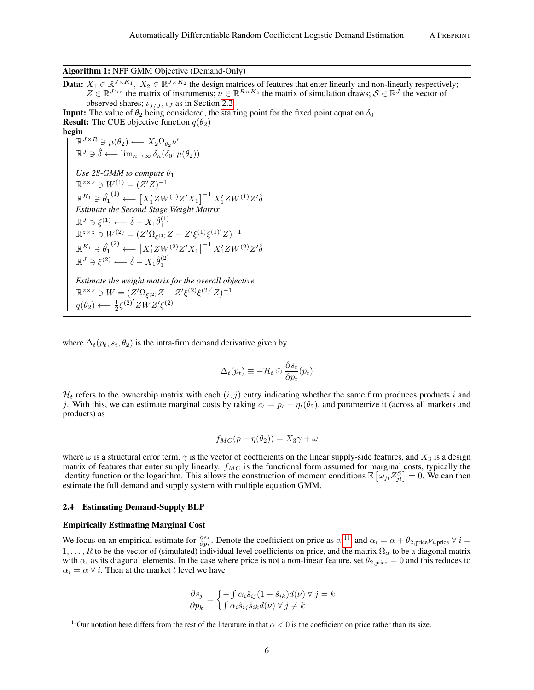Algorithm 1: NFP GMM Objective (Demand-Only)

**Data:**  $X_1 \in \mathbb{R}^{J \times K_1}$ ,  $X_2 \in \mathbb{R}^{J \times K_2}$  the design matrices of features that enter linearly and non-linearly respectively;  $Z \in \mathbb{R}^{J \times z}$  the matrix of instruments;  $\nu \in \mathbb{R}^{R \times K_2}$  the matrix of simulation draws;  $S \in \mathbb{R}^J$  the vector of observed shares;  $\iota_{J/J}$ ,  $\iota_J$  as in Section [2.2.](#page-2-0)

**Input:** The value of  $\theta_2$  being considered, the starting point for the fixed point equation  $\delta_0$ . **Result:** The CUE objective function  $q(\theta_2)$ begin

$$
\mathbb{E}^{III}_{\mathbb{R}} \times R \ni \mu(\theta_2) \longleftarrow X_2 \Omega_{\theta_2} \nu'
$$
\n
$$
\mathbb{R}^J \ni \hat{\delta} \longleftarrow \lim_{n \to \infty} \delta_n(\delta_0; \mu(\theta_2))
$$
\nUse 2S-GMM to compute  $\theta_1$ \n
$$
\mathbb{R}^{z \times z} \ni W^{(1)} = (Z^t Z)^{-1}
$$
\n
$$
\mathbb{R}^{K_1} \ni \hat{\theta_1}^{(1)} \longleftarrow [X_1^t Z W^{(1)} Z' X_1]^{-1} X_1^t Z W^{(1)} Z' \hat{\delta}
$$
\nEstimate the Second Stage Weight Matrix\n
$$
\mathbb{R}^J \ni \xi^{(1)} \longleftarrow \hat{\delta} - X_1 \hat{\theta}_1^{(1)}
$$
\n
$$
\mathbb{R}^{z \times z} \ni W^{(2)} = (Z^t \Omega_{\xi^{(1)}} Z - Z^t \xi^{(1)} \xi^{(1)'} Z)^{-1}
$$
\n
$$
\mathbb{R}^{K_1} \ni \hat{\theta_1}^{(2)} \longleftarrow [X_1^t Z W^{(2)} Z' X_1]^{-1} X_1^t Z W^{(2)} Z' \hat{\delta}
$$
\n
$$
\mathbb{R}^J \ni \xi^{(2)} \longleftarrow \hat{\delta} - X_1 \hat{\theta}_1^{(2)}
$$
\nEstimate the weight matrix for the overall objective\n
$$
\mathbb{R}^{z \times z} \ni W = (Z^t \Omega_{\xi^{(2)}} Z - Z^t \xi^{(2)} \xi^{(2)'} Z)^{-1}
$$
\n
$$
q(\theta_2) \longleftarrow \frac{1}{2} \xi^{(2)'} Z W Z' \xi^{(2)}
$$

<span id="page-5-0"></span>where  $\Delta_t(p_t, s_t, \theta_2)$  is the intra-firm demand derivative given by

$$
\Delta_t(p_t) \equiv -\mathcal{H}_t \odot \frac{\partial s_t}{\partial p_t}(p_t)
$$

 $\mathcal{H}_t$  refers to the ownership matrix with each  $(i, j)$  entry indicating whether the same firm produces products i and j. With this, we can estimate marginal costs by taking  $c_t = p_t - \eta_t(\theta_2)$ , and parametrize it (across all markets and products) as

$$
f_{MC}(p - \eta(\theta_2)) = X_3\gamma + \omega
$$

where  $\omega$  is a structural error term,  $\gamma$  is the vector of coefficients on the linear supply-side features, and  $X_3$  is a design matrix of features that enter supply linearly.  $f_{MC}$  is the functional form assumed for marginal costs, typically the identity function or the logarithm. This allows the construction of moment conditions  $\mathbb{E}\left[\omega_{jt}Z_{jt}^S\right]=0$ . We can then estimate the full demand and supply system with multiple equation GMM.

#### 2.4 Estimating Demand-Supply BLP

#### Empirically Estimating Marginal Cost

We focus on an empirical estimate for  $\frac{\partial s_t}{\partial p_t}$ . Denote the coefficient on price as  $\alpha$ .<sup>[11](#page-5-1)</sup>, and  $\alpha_i = \alpha + \theta_{2,\text{price}} \nu_{i,\text{price}} \ \forall \ i =$ 1, ..., R to be the vector of (simulated) individual level coefficients on price, and the matrix  $\Omega_{\alpha}$  to be a diagonal matrix with  $\alpha_i$  as its diagonal elements. In the case where price is not a non-linear feature, set  $\theta_{2,\text{price}} = 0$  and this reduces to  $\alpha_i = \alpha \ \forall \ i$ . Then at the market t level we have

$$
\frac{\partial s_j}{\partial p_k} = \begin{cases} -\int \alpha_i \hat{s}_{ij} (1 - \hat{s}_{ik}) d(\nu) \ \forall \ j = k \\ \int \alpha_i \hat{s}_{ij} \hat{s}_{ik} d(\nu) \ \forall \ j \neq k \end{cases}
$$

<span id="page-5-1"></span><sup>&</sup>lt;sup>11</sup>Our notation here differs from the rest of the literature in that  $\alpha < 0$  is the coefficient on price rather than its size.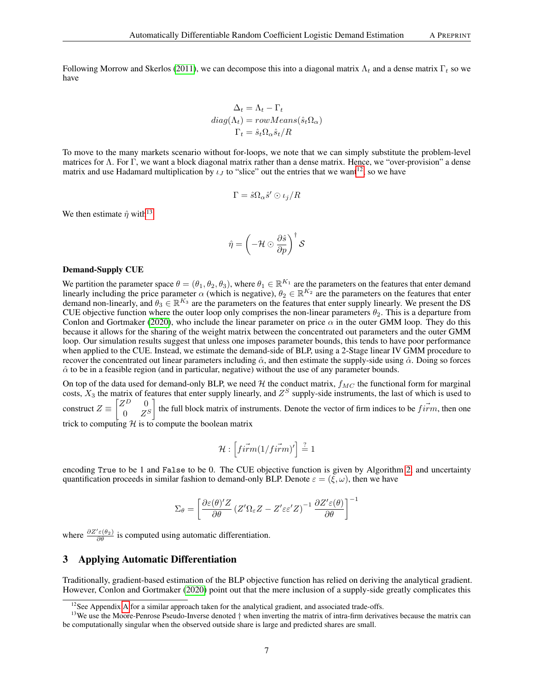Following Morrow and Skerlos [\(2011\)](#page-15-3), we can decompose this into a diagonal matrix  $\Lambda_t$  and a dense matrix  $\Gamma_t$  so we have

$$
\Delta_t = \Lambda_t - \Gamma_t
$$
  
diag( $\Lambda_t$ ) = rowMeans( $\hat{s}_t \Omega_\alpha$ )  

$$
\Gamma_t = \hat{s}_t \Omega_\alpha \hat{s}_t / R
$$

To move to the many markets scenario without for-loops, we note that we can simply substitute the problem-level matrices for Λ. For Γ, we want a block diagonal matrix rather than a dense matrix. Hence, we "over-provision" a dense matrix and use Hadamard multiplication by  $\iota_J$  to "slice" out the entries that we want<sup>[12](#page-6-1)</sup>, so we have

$$
\Gamma = \hat{s} \Omega_{\alpha} \hat{s}' \odot \iota_j / R
$$

We then estimate  $\hat{\eta}$  with<sup>[13](#page-6-2)</sup>

$$
\hat{\eta} = \left(-\mathcal{H} \odot \frac{\partial \hat{s}}{\partial p}\right)^{\dagger} \mathcal{S}
$$

#### Demand-Supply CUE

We partition the parameter space  $\theta = (\theta_1, \theta_2, \theta_3)$ , where  $\theta_1 \in \mathbb{R}^{K_1}$  are the parameters on the features that enter demand linearly including the price parameter  $\alpha$  (which is negative),  $\theta_2 \in \mathbb{R}^{K_2}$  are the parameters on the features that enter demand non-linearly, and  $\theta_3 \in \mathbb{R}^{K_3}$  are the parameters on the features that enter supply linearly. We present the DS CUE objective function where the outer loop only comprises the non-linear parameters  $\theta_2$ . This is a departure from Conlon and Gortmaker [\(2020\)](#page-14-1), who include the linear parameter on price  $\alpha$  in the outer GMM loop. They do this because it allows for the sharing of the weight matrix between the concentrated out parameters and the outer GMM loop. Our simulation results suggest that unless one imposes parameter bounds, this tends to have poor performance when applied to the CUE. Instead, we estimate the demand-side of BLP, using a 2-Stage linear IV GMM procedure to recover the concentrated out linear parameters including  $\hat{\alpha}$ , and then estimate the supply-side using  $\hat{\alpha}$ . Doing so forces  $\hat{\alpha}$  to be in a feasible region (and in particular, negative) without the use of any parameter bounds.

On top of the data used for demand-only BLP, we need  $H$  the conduct matrix,  $f_{MC}$  the functional form for marginal costs,  $X_3$  the matrix of features that enter supply linearly, and  $Z^S$  supply-side instruments, the last of which is used to construct  $Z \equiv \begin{bmatrix} Z^D & 0 \\ 0 & Z \end{bmatrix}$  $0\quad Z^S$ the full block matrix of instruments. Denote the vector of firm indices to be  $f \vec{r}$ , then one

trick to computing  $H$  is to compute the boolean matrix

$$
\mathcal{H}: \left[ \vec{firm(1/firm)}' \right] \stackrel{?}{=} 1
$$

encoding True to be 1 and False to be 0. The CUE objective function is given by Algorithm [2,](#page-7-0) and uncertainty quantification proceeds in similar fashion to demand-only BLP. Denote  $\varepsilon = (\xi, \omega)$ , then we have

$$
\Sigma_{\theta} = \left[ \frac{\partial \varepsilon(\theta)'Z}{\partial \theta} \left( Z'\Omega_{\varepsilon}Z - Z'\varepsilon \varepsilon'Z \right)^{-1} \frac{\partial Z'\varepsilon(\theta)}{\partial \theta} \right]^{-1}
$$

where  $\frac{\partial Z' \varepsilon(\theta_2)}{\partial \theta}$  is computed using automatic differentiation.

# <span id="page-6-0"></span>3 Applying Automatic Differentiation

Traditionally, gradient-based estimation of the BLP objective function has relied on deriving the analytical gradient. However, Conlon and Gortmaker [\(2020\)](#page-14-1) point out that the mere inclusion of a supply-side greatly complicates this

<span id="page-6-2"></span><span id="page-6-1"></span> $12$ See [A](#page-16-0)ppendix A for a similar approach taken for the analytical gradient, and associated trade-offs.

<sup>&</sup>lt;sup>13</sup>We use the Moore-Penrose Pseudo-Inverse denoted  $\dagger$  when inverting the matrix of intra-firm derivatives because the matrix can be computationally singular when the observed outside share is large and predicted shares are small.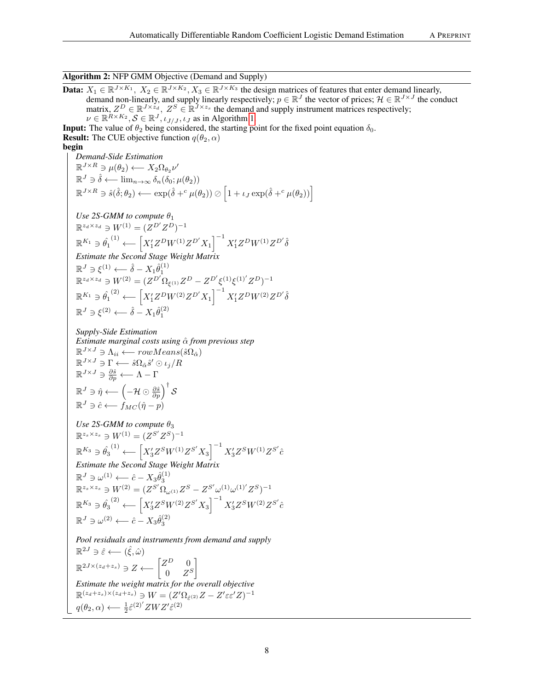# Algorithm 2: NFP GMM Objective (Demand and Supply)

**Data:**  $X_1 \in \mathbb{R}^{J \times K_1}$ ,  $X_2 \in \mathbb{R}^{J \times K_2}$ ,  $X_3 \in \mathbb{R}^{J \times K_3}$  the design matrices of features that enter demand linearly, demand non-linearly, and supply linearly respectively;  $p \in \mathbb{R}^J$  the vector of prices;  $\mathcal{H} \in \mathbb{R}^{J \times J}$  the conduct matrix,  $Z^D \in \mathbb{R}^{J \times z_d}$ ,  $Z^S \in \mathbb{R}^{J \times z_s}$  the demand and supply instrument matrices respectively;  $\nu \in \mathbb{R}^{R \times K_2}, \mathcal{S} \in \mathbb{R}^{J}, \iota_{J/J}, \iota_J$  as in Algorithm [1.](#page-5-0)

**Input:** The value of  $\theta_2$  being considered, the starting point for the fixed point equation  $\delta_0$ . **Result:** The CUE objective function  $q(\theta_2, \alpha)$ begin

*Demand-Side Estimation*  $\mathbb{R}^{J \times R} \ni \mu(\theta_2) \longleftarrow X_2 \Omega_{\theta_2} \nu'$  $\mathbb{R}^J \ni \hat{\delta} \longleftarrow \lim_{n \to \infty} \delta_n(\delta_0; \mu(\theta_2))$  $\mathbb{R}^{J \times R} \ni \hat{s}(\hat{\delta}; \theta_2) \longleftarrow \exp(\hat{\delta} +^c \mu(\theta_2)) \oslash \left[1 + \iota_J \exp(\hat{\delta} +^c \mu(\theta_2))\right]$ *Use 2S-GMM to compute*  $\theta_1$  $\mathbb{R}^{z_d \times z_d} \ni W^{(1)} = (Z^{D'} Z^{D})^{-1}$  $\mathbb{R}^{K_1}\ni\hat{\theta_1}^{(1)}\longleftarrow \left[X_1'Z^DW^{(1)}Z^{D'}X_1\right]^{-1}X_1'Z^DW^{(1)}Z^{D'}\hat{\delta}$ *Estimate the Second Stage Weight Matrix*  $\mathbb{R}^J \ni \xi^{(1)} \longleftarrow \hat{\delta} - X_1 \hat{\theta}_1^{(1)}$ 

$$
\mathbb{R}^{z_d \times z_d} \ni W^{(2)} = (Z^{D'} \Omega_{\xi^{(1)}} Z^D - Z^{D'} \xi^{(1)} \xi^{(1)'} Z^D)^{-1}
$$
  

$$
\mathbb{R}^{K_1} \ni \hat{\theta_1}^{(2)} \longleftarrow \left[ X_1' Z^D W^{(2)} Z^{D'} X_1 \right]^{-1} X_1' Z^D W^{(2)} Z^{D'} \hat{\delta}
$$
  

$$
\mathbb{R}^J \ni \xi^{(2)} \longleftarrow \hat{\delta} - X_1 \hat{\theta}_1^{(2)}
$$

*Supply-Side Estimation Estimate marginal costs using* αˆ *from previous step*  $\mathbb{R}^{J \times J} \ni \Lambda_{ii} \longleftarrow rowMeans(\hat{s}\Omega_{\hat{\alpha}})$  $\mathbb{R}^{J \times J} \ni \Gamma \longleftarrow \hat{s} \Omega_{\hat{\alpha}} \hat{s}' \odot \iota_j / R$  $\mathbb{R}^{J \times J} \ni \frac{\partial \hat{s}}{\partial p} \longleftarrow \Lambda - \Gamma$  $\mathbb{R}^J\ni \hat{\eta}\longleftarrow \left(-\mathcal{H}\odot \frac{\partial \hat{s}}{\partial p}\right)^{\dagger}\mathcal{S}$  $\mathbb{R}^J \ni \hat{c} \longleftarrow f_{MC}(\hat{\eta} - p)$ 

$$
\begin{array}{l} \vspace{2mm} Use~2S\text{-}GMM\ to\ compute\ \theta_3 \\ \mathbb{R}^{z_s\times z_s} \ni W^{(1)} = (Z^{S'}Z^S)^{-1} \\ \mathbb{R}^{K_3} \ni \hat{\theta_3}^{(1)} \longleftarrow \left[X_3'Z^SW^{(1)}Z^{S'}X_3\right]^{-1}X_3'Z^SW^{(1)}Z^{S'}\hat{c} \\ \vspace{2mm} Estimate\ the\ Second\ Stage\ Weight\ Matrix \\ \mathbb{R}^J \ni \omega^{(1)} \longleftarrow \hat{c} - X_3\hat{\theta}_3^{(1)} \\ \mathbb{R}^{z_s\times z_s} \ni W^{(2)} = (Z^{S'}\Omega_{\omega^{(1)}}Z^S - Z^{S'}\omega^{(1)}\omega^{(1)'}Z^S)^{-1} \\ \mathbb{R}^{K_3} \ni \hat{\theta_3}^{(2)} \longleftarrow \left[X_3'Z^SW^{(2)}Z^{S'}X_3\right]^{-1}X_3'Z^SW^{(2)}Z^{S'}\hat{c} \\ \mathbb{R}^J \ni \omega^{(2)} \longleftarrow \hat{c} - X_3\hat{\theta}_3^{(2)} \end{array}
$$

<span id="page-7-0"></span>*Pool residuals and instruments from demand and supply*  $\mathbb{R}^{2J} \ni \hat{\varepsilon} \longleftarrow (\hat{\xi}, \hat{\omega})$  $\mathbb{R}^{2J\times(z_d+z_s)}\ni Z\longleftarrow \begin{bmatrix} Z^D & 0\ 0 & Z^D\end{bmatrix}$  $0\quad Z^S$ 1 *Estimate the weight matrix for the overall objective*  $\mathbb{R}^{(z_d+z_s)\times(z_d+z_s)}\ni W=(Z'\Omega_{\hat{\varepsilon}^{(2)}}Z-Z'\varepsilon \varepsilon' Z)^{-1}$  $q(\theta_2, \alpha) \longleftarrow \frac{1}{2} \hat{\varepsilon}^{(2)'} ZWZ' \hat{\varepsilon}^{(2)}$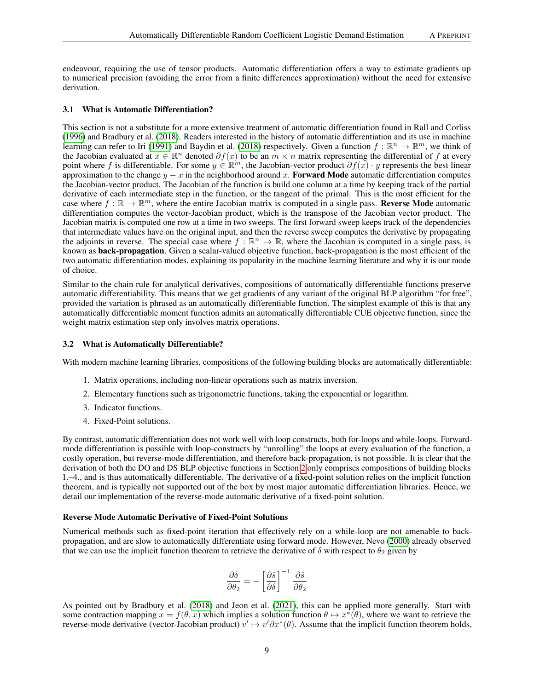endeavour, requiring the use of tensor products. Automatic differentiation offers a way to estimate gradients up to numerical precision (avoiding the error from a finite differences approximation) without the need for extensive derivation.

#### 3.1 What is Automatic Differentiation?

This section is not a substitute for a more extensive treatment of automatic differentiation found in Rall and Corliss [\(1996\)](#page-15-4) and Bradbury et al. [\(2018\)](#page-14-14). Readers interested in the history of automatic differentiation and its use in machine learning can refer to Iri [\(1991\)](#page-14-15) and Baydin et al. [\(2018\)](#page-14-16) respectively. Given a function  $f : \mathbb{R}^n \to \mathbb{R}^m$ , we think of the Jacobian evaluated at  $x \in \mathbb{R}^n$  denoted  $\partial f(x)$  to be an  $m \times n$  matrix representing the differential of f at every point where f is differentiable. For some  $y \in \mathbb{R}^m$ , the Jacobian-vector product  $\partial f(x) \cdot y$  represents the best linear approximation to the change  $y - x$  in the neighborhood around x. Forward Mode automatic differentiation computes the Jacobian-vector product. The Jacobian of the function is build one column at a time by keeping track of the partial derivative of each intermediate step in the function, or the tangent of the primal. This is the most efficient for the case where  $f : \mathbb{R} \to \mathbb{R}^m$ , where the entire Jacobian matrix is computed in a single pass. Reverse Mode automatic differentiation computes the vector-Jacobian product, which is the transpose of the Jacobian vector product. The Jacobian matrix is computed one row at a time in two sweeps. The first forward sweep keeps track of the dependencies that intermediate values have on the original input, and then the reverse sweep computes the derivative by propagating the adjoints in reverse. The special case where  $f : \mathbb{R}^n \to \mathbb{R}$ , where the Jacobian is computed in a single pass, is known as back-propagation. Given a scalar-valued objective function, back-propagation is the most efficient of the two automatic differentiation modes, explaining its popularity in the machine learning literature and why it is our mode of choice.

Similar to the chain rule for analytical derivatives, compositions of automatically differentiable functions preserve automatic differentiability. This means that we get gradients of any variant of the original BLP algorithm "for free", provided the variation is phrased as an automatically differentiable function. The simplest example of this is that any automatically differentiable moment function admits an automatically differentiable CUE objective function, since the weight matrix estimation step only involves matrix operations.

#### 3.2 What is Automatically Differentiable?

With modern machine learning libraries, compositions of the following building blocks are automatically differentiable:

- 1. Matrix operations, including non-linear operations such as matrix inversion.
- 2. Elementary functions such as trigonometric functions, taking the exponential or logarithm.
- 3. Indicator functions.
- 4. Fixed-Point solutions.

By contrast, automatic differentiation does not work well with loop constructs, both for-loops and while-loops. Forwardmode differentiation is possible with loop-constructs by "unrolling" the loops at every evaluation of the function, a costly operation, but reverse-mode differentiation, and therefore back-propagation, is not possible. It is clear that the derivation of both the DO and DS BLP objective functions in Section [2](#page-1-1) only comprises compositions of building blocks 1.–4., and is thus automatically differentiable. The derivative of a fixed-point solution relies on the implicit function theorem, and is typically not supported out of the box by most major automatic differentiation libraries. Hence, we detail our implementation of the reverse-mode automatic derivative of a fixed-point solution.

#### Reverse Mode Automatic Derivative of Fixed-Point Solutions

Numerical methods such as fixed-point iteration that effectively rely on a while-loop are not amenable to backpropagation, and are slow to automatically differentiate using forward mode. However, Nevo [\(2000\)](#page-15-0) already observed that we can use the implicit function theorem to retrieve the derivative of  $\delta$  with respect to  $\theta_2$  given by

$$
\frac{\partial \delta}{\partial \theta_2} = -\left[\frac{\partial \hat{s}}{\partial \delta}\right]^{-1} \frac{\partial \hat{s}}{\partial \theta_2}
$$

As pointed out by Bradbury et al. [\(2018\)](#page-14-14) and Jeon et al. [\(2021\)](#page-14-17), this can be applied more generally. Start with some contraction mapping  $x = f(\theta, x)$  which implies a solution function  $\theta \mapsto x^*(\theta)$ , where we want to retrieve the reverse-mode derivative (vector-Jacobian product)  $v' \mapsto v' \partial x^*(\theta)$ . Assume that the implicit function theorem holds,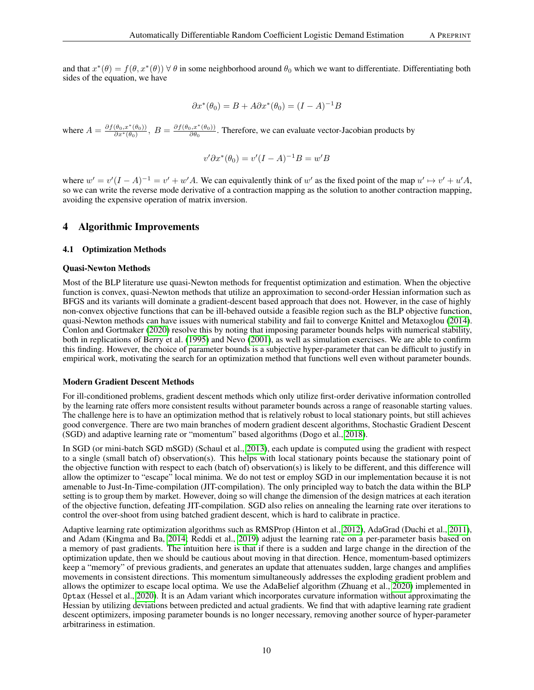$$
\partial x^*(\theta_0) = B + A\partial x^*(\theta_0) = (I - A)^{-1}B
$$

where  $A = \frac{\partial f(\theta_0, x^*(\theta_0))}{\partial x^*(\theta_0)}, B = \frac{\partial f(\theta_0, x^*(\theta_0))}{\partial \theta_0}$  $\frac{\partial \phi}{\partial \theta_0}$ . Therefore, we can evaluate vector-Jacobian products by

$$
v' \partial x^* (\theta_0) = v'(I - A)^{-1} B = w' B
$$

where  $w' = v'(I - A)^{-1} = v' + w'A$ . We can equivalently think of w' as the fixed point of the map  $u' \mapsto v' + u'A$ , so we can write the reverse mode derivative of a contraction mapping as the solution to another contraction mapping, avoiding the expensive operation of matrix inversion.

## <span id="page-9-0"></span>4 Algorithmic Improvements

# 4.1 Optimization Methods

#### Quasi-Newton Methods

Most of the BLP literature use quasi-Newton methods for frequentist optimization and estimation. When the objective function is convex, quasi-Newton methods that utilize an approximation to second-order Hessian information such as BFGS and its variants will dominate a gradient-descent based approach that does not. However, in the case of highly non-convex objective functions that can be ill-behaved outside a feasible region such as the BLP objective function, quasi-Newton methods can have issues with numerical stability and fail to converge Knittel and Metaxoglou [\(2014\)](#page-14-2). Conlon and Gortmaker [\(2020\)](#page-14-1) resolve this by noting that imposing parameter bounds helps with numerical stability, both in replications of Berry et al. [\(1995\)](#page-14-0) and Nevo [\(2001\)](#page-15-5), as well as simulation exercises. We are able to confirm this finding. However, the choice of parameter bounds is a subjective hyper-parameter that can be difficult to justify in empirical work, motivating the search for an optimization method that functions well even without parameter bounds.

#### Modern Gradient Descent Methods

For ill-conditioned problems, gradient descent methods which only utilize first-order derivative information controlled by the learning rate offers more consistent results without parameter bounds across a range of reasonable starting values. The challenge here is to have an optimization method that is relatively robust to local stationary points, but still achieves good convergence. There are two main branches of modern gradient descent algorithms, Stochastic Gradient Descent (SGD) and adaptive learning rate or "momentum" based algorithms (Dogo et al., [2018\)](#page-14-18).

In SGD (or mini-batch SGD mSGD) (Schaul et al., [2013\)](#page-15-6), each update is computed using the gradient with respect to a single (small batch of) observation(s). This helps with local stationary points because the stationary point of the objective function with respect to each (batch of) observation(s) is likely to be different, and this difference will allow the optimizer to "escape" local minima. We do not test or employ SGD in our implementation because it is not amenable to Just-In-Time-compilation (JIT-compilation). The only principled way to batch the data within the BLP setting is to group them by market. However, doing so will change the dimension of the design matrices at each iteration of the objective function, defeating JIT-compilation. SGD also relies on annealing the learning rate over iterations to control the over-shoot from using batched gradient descent, which is hard to calibrate in practice.

Adaptive learning rate optimization algorithms such as RMSProp (Hinton et al., [2012\)](#page-14-19), AdaGrad (Duchi et al., [2011\)](#page-14-20), and Adam (Kingma and Ba, [2014;](#page-14-21) Reddi et al., [2019\)](#page-15-7) adjust the learning rate on a per-parameter basis based on a memory of past gradients. The intuition here is that if there is a sudden and large change in the direction of the optimization update, then we should be cautious about moving in that direction. Hence, momentum-based optimizers keep a "memory" of previous gradients, and generates an update that attenuates sudden, large changes and amplifies movements in consistent directions. This momentum simultaneously addresses the exploding gradient problem and allows the optimizer to escape local optima. We use the AdaBelief algorithm (Zhuang et al., [2020\)](#page-15-8) implemented in Optax (Hessel et al., [2020\)](#page-14-22). It is an Adam variant which incorporates curvature information without approximating the Hessian by utilizing deviations between predicted and actual gradients. We find that with adaptive learning rate gradient descent optimizers, imposing parameter bounds is no longer necessary, removing another source of hyper-parameter arbitrariness in estimation.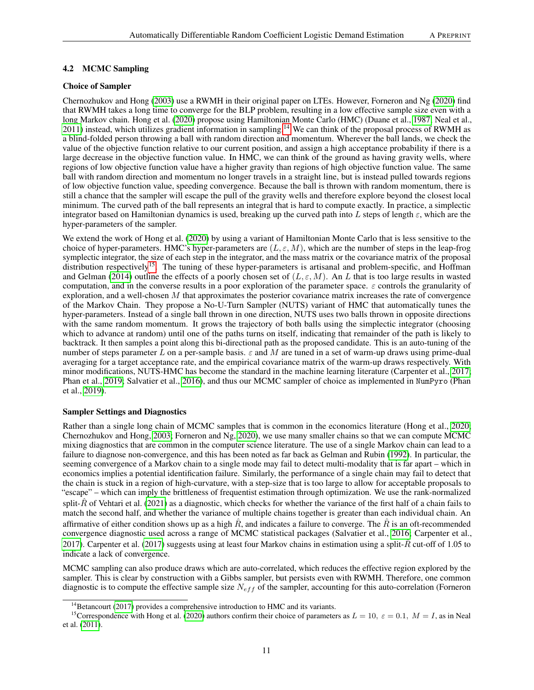# 4.2 MCMC Sampling

# Choice of Sampler

Chernozhukov and Hong [\(2003\)](#page-14-8) use a RWMH in their original paper on LTEs. However, Forneron and Ng [\(2020\)](#page-14-4) find that RWMH takes a long time to converge for the BLP problem, resulting in a low effective sample size even with a long Markov chain. Hong et al. [\(2020\)](#page-14-3) propose using Hamiltonian Monte Carlo (HMC) (Duane et al., [1987;](#page-14-23) Neal et al., [2011\)](#page-15-9) instead, which utilizes gradient information in sampling.<sup>[14](#page-10-0)</sup> We can think of the proposal process of RWMH as a blind-folded person throwing a ball with random direction and momentum. Wherever the ball lands, we check the value of the objective function relative to our current position, and assign a high acceptance probability if there is a large decrease in the objective function value. In HMC, we can think of the ground as having gravity wells, where regions of low objective function value have a higher gravity than regions of high objective function value. The same ball with random direction and momentum no longer travels in a straight line, but is instead pulled towards regions of low objective function value, speeding convergence. Because the ball is thrown with random momentum, there is still a chance that the sampler will escape the pull of the gravity wells and therefore explore beyond the closest local minimum. The curved path of the ball represents an integral that is hard to compute exactly. In practice, a simplectic integrator based on Hamiltonian dynamics is used, breaking up the curved path into L steps of length  $\varepsilon$ , which are the hyper-parameters of the sampler.

We extend the work of Hong et al. [\(2020\)](#page-14-3) by using a variant of Hamiltonian Monte Carlo that is less sensitive to the choice of hyper-parameters. HMC's hyper-parameters are  $(L, \varepsilon, M)$ , which are the number of steps in the leap-frog symplectic integrator, the size of each step in the integrator, and the mass matrix or the covariance matrix of the proposal distribution respectively<sup>[15](#page-10-1)</sup>. The tuning of these hyper-parameters is artisanal and problem-specific, and Hoffman and Gelman [\(2014\)](#page-14-24) outline the effects of a poorly chosen set of  $(L, \varepsilon, M)$ . An L that is too large results in wasted computation, and in the converse results in a poor exploration of the parameter space.  $\varepsilon$  controls the granularity of exploration, and a well-chosen  $M$  that approximates the posterior covariance matrix increases the rate of convergence of the Markov Chain. They propose a No-U-Turn Sampler (NUTS) variant of HMC that automatically tunes the hyper-parameters. Instead of a single ball thrown in one direction, NUTS uses two balls thrown in opposite directions with the same random momentum. It grows the trajectory of both balls using the simplectic integrator (choosing which to advance at random) until one of the paths turns on itself, indicating that remainder of the path is likely to backtrack. It then samples a point along this bi-directional path as the proposed candidate. This is an auto-tuning of the number of steps parameter L on a per-sample basis.  $\varepsilon$  and M are tuned in a set of warm-up draws using prime-dual averaging for a target acceptance rate, and the empirical covariance matrix of the warm-up draws respectively. With minor modifications, NUTS-HMC has become the standard in the machine learning literature (Carpenter et al., [2017;](#page-14-25) Phan et al., [2019;](#page-15-10) Salvatier et al., [2016\)](#page-15-11), and thus our MCMC sampler of choice as implemented in NumPyro (Phan et al., [2019\)](#page-15-10).

## Sampler Settings and Diagnostics

Rather than a single long chain of MCMC samples that is common in the economics literature (Hong et al., [2020;](#page-14-3) Chernozhukov and Hong, [2003;](#page-14-8) Forneron and Ng, [2020\)](#page-14-4), we use many smaller chains so that we can compute MCMC mixing diagnostics that are common in the computer science literature. The use of a single Markov chain can lead to a failure to diagnose non-convergence, and this has been noted as far back as Gelman and Rubin [\(1992\)](#page-14-26). In particular, the seeming convergence of a Markov chain to a single mode may fail to detect multi-modality that is far apart – which in economics implies a potential identification failure. Similarly, the performance of a single chain may fail to detect that the chain is stuck in a region of high-curvature, with a step-size that is too large to allow for acceptable proposals to "escape" – which can imply the brittleness of frequentist estimation through optimization. We use the rank-normalized split- $\hat{R}$  of Vehtari et al. [\(2021\)](#page-15-12) as a diagnostic, which checks for whether the variance of the first half of a chain fails to match the second half, and whether the variance of multiple chains together is greater than each individual chain. An affirmative of either condition shows up as a high  $\hat{R}$ , and indicates a failure to converge. The  $\hat{R}$  is an oft-recommended convergence diagnostic used across a range of MCMC statistical packages (Salvatier et al., [2016;](#page-15-11) Carpenter et al., [2017\)](#page-14-25). Carpenter et al. [\(2017\)](#page-14-25) suggests using at least four Markov chains in estimation using a split- $\bar{R}$  cut-off of 1.05 to indicate a lack of convergence.

MCMC sampling can also produce draws which are auto-correlated, which reduces the effective region explored by the sampler. This is clear by construction with a Gibbs sampler, but persists even with RWMH. Therefore, one common diagnostic is to compute the effective sample size  $N_{eff}$  of the sampler, accounting for this auto-correlation (Forneron

<span id="page-10-1"></span><span id="page-10-0"></span> $14$ Betancourt [\(2017\)](#page-14-27) provides a comprehensive introduction to HMC and its variants.

<sup>&</sup>lt;sup>15</sup>Correspondence with Hong et al. [\(2020\)](#page-14-3) authors confirm their choice of parameters as  $L = 10$ ,  $\varepsilon = 0.1$ ,  $M = I$ , as in Neal et al. [\(2011\)](#page-15-9).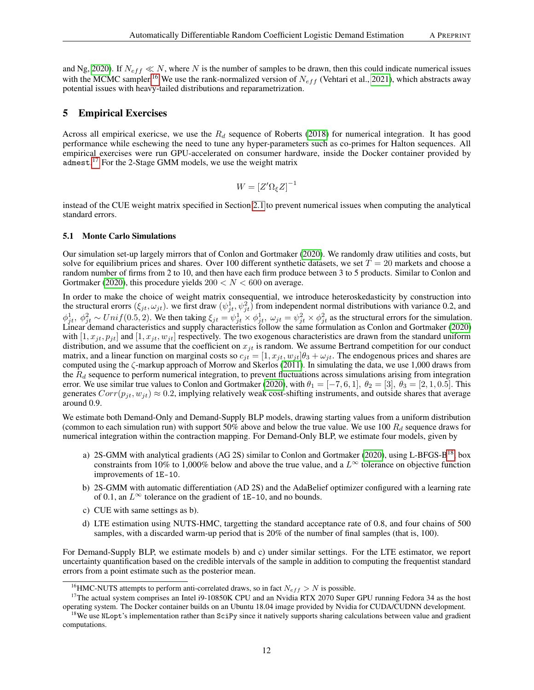and Ng, [2020\)](#page-14-4). If  $N_{eff} \ll N$ , where N is the number of samples to be drawn, then this could indicate numerical issues with the MCMC sampler.<sup>[16](#page-11-1)</sup> We use the rank-normalized version of  $N_{eff}$  (Vehtari et al., [2021\)](#page-15-12), which abstracts away potential issues with heavy-tailed distributions and reparametrization.

# <span id="page-11-0"></span>5 Empirical Exercises

Across all empirical exericse, we use the  $R_d$  sequence of Roberts [\(2018\)](#page-15-13) for numerical integration. It has good performance while eschewing the need to tune any hyper-parameters such as co-primes for Halton sequences. All empirical exercises were run GPU-accelerated on consumer hardware, inside the Docker container provided by admest.<sup>[17](#page-11-2)</sup> For the 2-Stage GMM models, we use the weight matrix

$$
W = \left[Z'\Omega_{\xi}Z\right]^{-1}
$$

instead of the CUE weight matrix specified in Section [2.1](#page-1-2) to prevent numerical issues when computing the analytical standard errors.

### 5.1 Monte Carlo Simulations

Our simulation set-up largely mirrors that of Conlon and Gortmaker [\(2020\)](#page-14-1). We randomly draw utilities and costs, but solve for equilibrium prices and shares. Over 100 different synthetic datasets, we set  $T = 20$  markets and choose a random number of firms from 2 to 10, and then have each firm produce between 3 to 5 products. Similar to Conlon and Gortmaker [\(2020\)](#page-14-1), this procedure yields  $200 < N < 600$  on average.

In order to make the choice of weight matrix consequential, we introduce heteroskedasticity by construction into the structural erorrs  $(\xi_{jt}, \omega_{jt})$ . we first draw  $(\psi_{jt}^1, \psi_{jt}^2)$  from independent normal distributions with variance 0.2, and  $\phi_{jt}^1$ ,  $\phi_{jt}^2 \sim Unif(0.5, 2)$ . We then taking  $\xi_{jt} = \psi_{jt}^1 \times \phi_{jt}^1$ ,  $\omega_{jt} = \psi_{jt}^2 \times \phi_{jt}^2$  as the structural errors for the simulation. Linear demand characteristics and supply characteristics follow the same formulation as Conlon and Gortmaker [\(2020\)](#page-14-1) with  $[1, x_{it}, p_{it}]$  and  $[1, x_{it}, w_{it}]$  respectively. The two exogenous characteristics are drawn from the standard uniform distribution, and we assume that the coefficient on  $x_{jt}$  is random. We assume Bertrand competition for our conduct matrix, and a linear function on marginal costs so  $c_{it} = [1, x_{it}, w_{it}]\theta_3 + \omega_{it}$ . The endogenous prices and shares are computed using the ζ-markup approach of Morrow and Skerlos [\(2011\)](#page-15-3). In simulating the data, we use 1,000 draws from the  $R_d$  sequence to perform numerical integration, to prevent fluctuations across simulations arising from integration error. We use similar true values to Conlon and Gortmaker [\(2020\)](#page-14-1), with  $\theta_1 = [-7, 6, 1], \theta_2 = [3], \theta_3 = [2, 1, 0.5]$ . This generates  $Corr(p_{it}, w_{it}) \approx 0.2$ , implying relatively weak cost-shifting instruments, and outside shares that average around 0.9.

We estimate both Demand-Only and Demand-Supply BLP models, drawing starting values from a uniform distribution (common to each simulation run) with support 50% above and below the true value. We use 100  $R_d$  sequence draws for numerical integration within the contraction mapping. For Demand-Only BLP, we estimate four models, given by

- a) 2S-GMM with analytical gradients (AG 2S) similar to Conlon and Gortmaker [\(2020\)](#page-14-1), using L-BFGS-B<sup>[18](#page-11-3)</sup>, box constraints from 10% to 1,000% below and above the true value, and a  $L^{\infty}$  tolerance on objective function improvements of 1E-10.
- b) 2S-GMM with automatic differentiation (AD 2S) and the AdaBelief optimizer configured with a learning rate of 0.1, an  $L^{\infty}$  tolerance on the gradient of 1E-10, and no bounds.
- c) CUE with same settings as b).
- d) LTE estimation using NUTS-HMC, targetting the standard acceptance rate of 0.8, and four chains of 500 samples, with a discarded warm-up period that is 20% of the number of final samples (that is, 100).

For Demand-Supply BLP, we estimate models b) and c) under similar settings. For the LTE estimator, we report uncertainty quantification based on the credible intervals of the sample in addition to computing the frequentist standard errors from a point estimate such as the posterior mean.

<span id="page-11-2"></span><span id="page-11-1"></span><sup>&</sup>lt;sup>16</sup>HMC-NUTS attempts to perform anti-correlated draws, so in fact  $N_{eff} > N$  is possible.

<sup>&</sup>lt;sup>17</sup>The actual system comprises an Intel i9-10850K CPU and an Nvidia RTX 2070 Super GPU running Fedora 34 as the host operating system. The Docker container builds on an Ubuntu 18.04 image provided by Nvidia for CUDA/CUDNN development.

<span id="page-11-3"></span><sup>&</sup>lt;sup>18</sup>We use NLopt's implementation rather than SciPy since it natively supports sharing calculations between value and gradient computations.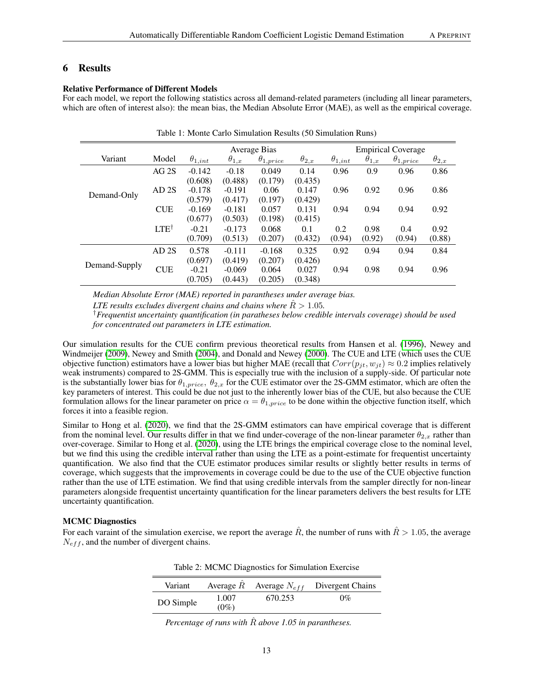# <span id="page-12-0"></span>Relative Performance of Different Models

For each model, we report the following statistics across all demand-related parameters (including all linear parameters, which are often of interest also): the mean bias, the Median Absolute Error (MAE), as well as the empirical coverage.

|               |                   | Average Bias     |                |                    |                | <b>Empirical Coverage</b> |                |                    |                |
|---------------|-------------------|------------------|----------------|--------------------|----------------|---------------------------|----------------|--------------------|----------------|
| Variant       | Model             | $\theta_{1,int}$ | $\theta_{1,x}$ | $\theta_{1,price}$ | $\theta_{2,x}$ | $\theta_{1,int}$          | $\theta_{1,x}$ | $\theta_{1,price}$ | $\theta_{2,x}$ |
| Demand-Only   | AG2S              | $-0.142$         | $-0.18$        | 0.049              | 0.14           | 0.96                      | 0.9            | 0.96               | 0.86           |
|               |                   | (0.608)          | (0.488)        | (0.179)            | (0.435)        |                           |                |                    |                |
|               | AD <sub>2</sub> S | $-0.178$         | $-0.191$       | 0.06               | 0.147          | 0.96                      | 0.92           | 0.96               | 0.86           |
|               |                   | (0.579)          | (0.417)        | (0.197)            | (0.429)        |                           |                |                    |                |
|               | <b>CUE</b>        | $-0.169$         | $-0.181$       | 0.057              | 0.131          | 0.94                      | 0.94           | 0.94               | 0.92           |
|               |                   | (0.677)          | (0.503)        | (0.198)            | (0.415)        |                           |                |                    |                |
|               | LTE <sup>1</sup>  | $-0.21$          | $-0.173$       | 0.068              | 0.1            | 0.2                       | 0.98           | 0.4                | 0.92           |
|               |                   | (0.709)          | (0.513)        | (0.207)            | (0.432)        | (0.94)                    | (0.92)         | (0.94)             | (0.88)         |
| Demand-Supply | AD2S              | 0.578            | $-0.111$       | $-0.168$           | 0.325          | 0.92                      | 0.94           | 0.94               | 0.84           |
|               |                   | (0.697)          | (0.419)        | (0.207)            | (0.426)        |                           |                |                    |                |
|               | <b>CUE</b>        | $-0.21$          | $-0.069$       | 0.064              | 0.027          | 0.94                      | 0.98           | 0.94               | 0.96           |
|               |                   | (0.705)          | (0.443)        | (0.205)            | (0.348)        |                           |                |                    |                |

*Median Absolute Error (MAE) reported in parantheses under average bias.*

*LTE results excludes divergent chains and chains where*  $R > 1.05$ *.* 

†*Frequentist uncertainty quantification (in paratheses below credible intervals coverage) should be used for concentrated out parameters in LTE estimation.*

Our simulation results for the CUE confirm previous theoretical results from Hansen et al. [\(1996\)](#page-14-9), Newey and Windmeijer [\(2009\)](#page-15-2), Newey and Smith [\(2004\)](#page-15-1), and Donald and Newey [\(2000\)](#page-14-10). The CUE and LTE (which uses the CUE objective function) estimators have a lower bias but higher MAE (recall that  $Corr(p_{it}, w_{it}) \approx 0.2$  implies relatively weak instruments) compared to 2S-GMM. This is especially true with the inclusion of a supply-side. Of particular note is the substantially lower bias for  $\theta_{1,price}$ ,  $\theta_{2,x}$  for the CUE estimator over the 2S-GMM estimator, which are often the key parameters of interest. This could be due not just to the inherently lower bias of the CUE, but also because the CUE formulation allows for the linear parameter on price  $\alpha = \theta_{1,price}$  to be done within the objective function itself, which forces it into a feasible region.

Similar to Hong et al. [\(2020\)](#page-14-3), we find that the 2S-GMM estimators can have empirical coverage that is different from the nominal level. Our results differ in that we find under-coverage of the non-linear parameter  $\theta_{2,x}$  rather than over-coverage. Similar to Hong et al. [\(2020\)](#page-14-3), using the LTE brings the empirical coverage close to the nominal level, but we find this using the credible interval rather than using the LTE as a point-estimate for frequentist uncertainty quantification. We also find that the CUE estimator produces similar results or slightly better results in terms of coverage, which suggests that the improvements in coverage could be due to the use of the CUE objective function rather than the use of LTE estimation. We find that using credible intervals from the sampler directly for non-linear parameters alongside frequentist uncertainty quantification for the linear parameters delivers the best results for LTE uncertainty quantification.

# MCMC Diagnostics

For each varaint of the simulation exercise, we report the average  $\hat{R}$ , the number of runs with  $\hat{R} > 1.05$ , the average  $N_{eff}$ , and the number of divergent chains.

| Variant   |                  |         | Average $\hat{R}$ Average $N_{eff}$ Divergent Chains |
|-----------|------------------|---------|------------------------------------------------------|
| DO Simple | 1.007<br>$(0\%)$ | 670.253 | $0\%$                                                |

Table 2: MCMC Diagnostics for Simulation Exercise

*Percentage of runs with*  $\hat{R}$  *above 1.05 in parantheses.*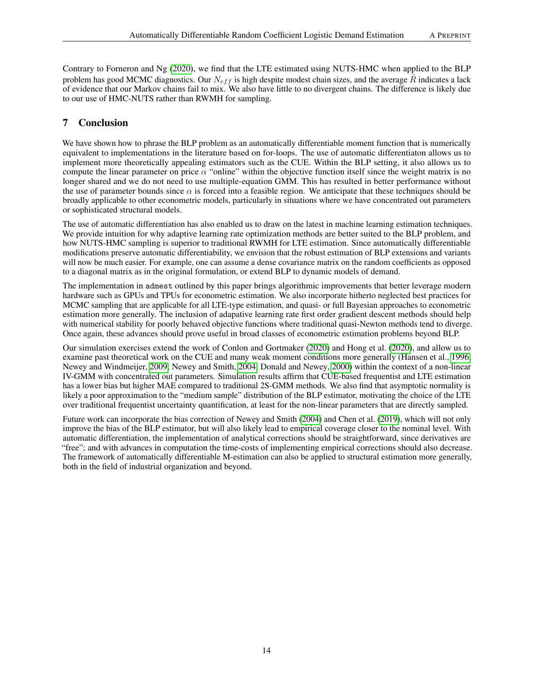Contrary to Forneron and Ng [\(2020\)](#page-14-4), we find that the LTE estimated using NUTS-HMC when applied to the BLP problem has good MCMC diagnostics. Our  $N_{eff}$  is high despite modest chain sizes, and the average  $\hat{R}$  indicates a lack of evidence that our Markov chains fail to mix. We also have little to no divergent chains. The difference is likely due to our use of HMC-NUTS rather than RWMH for sampling.

# <span id="page-13-0"></span>7 Conclusion

We have shown how to phrase the BLP problem as an automatically differentiable moment function that is numerically equivalent to implementations in the literature based on for-loops. The use of automatic differentiaton allows us to implement more theoretically appealing estimators such as the CUE. Within the BLP setting, it also allows us to compute the linear parameter on price  $\alpha$  "online" within the objective function itself since the weight matrix is no longer shared and we do not need to use multiple-equation GMM. This has resulted in better performance without the use of parameter bounds since  $\alpha$  is forced into a feasible region. We anticipate that these techniques should be broadly applicable to other econometric models, particularly in situations where we have concentrated out parameters or sophisticated structural models.

The use of automatic differentiation has also enabled us to draw on the latest in machine learning estimation techniques. We provide intuition for why adaptive learning rate optimization methods are better suited to the BLP problem, and how NUTS-HMC sampling is superior to traditional RWMH for LTE estimation. Since automatically differentiable modifications preserve automatic differentiability, we envision that the robust estimation of BLP extensions and variants will now be much easier. For example, one can assume a dense covariance matrix on the random coefficients as opposed to a diagonal matrix as in the original formulation, or extend BLP to dynamic models of demand.

The implementation in admest outlined by this paper brings algorithmic improvements that better leverage modern hardware such as GPUs and TPUs for econometric estimation. We also incorporate hitherto neglected best practices for MCMC sampling that are applicable for all LTE-type estimation, and quasi- or full Bayesian approaches to econometric estimation more generally. The inclusion of adapative learning rate first order gradient descent methods should help with numerical stability for poorly behaved objective functions where traditional quasi-Newton methods tend to diverge. Once again, these advances should prove useful in broad classes of econometric estimation problems beyond BLP.

Our simulation exercises extend the work of Conlon and Gortmaker [\(2020\)](#page-14-1) and Hong et al. [\(2020\)](#page-14-3), and allow us to examine past theoretical work on the CUE and many weak moment conditions more generally (Hansen et al., [1996;](#page-14-9) Newey and Windmeijer, [2009;](#page-15-2) Newey and Smith, [2004;](#page-15-1) Donald and Newey, [2000\)](#page-14-10) within the context of a non-linear IV-GMM with concentrated out parameters. Simulation results affirm that CUE-based frequentist and LTE estimation has a lower bias but higher MAE compared to traditional 2S-GMM methods. We also find that asymptotic normality is likely a poor approximation to the "medium sample" distribution of the BLP estimator, motivating the choice of the LTE over traditional frequentist uncertainty quantification, at least for the non-linear parameters that are directly sampled.

Future work can incorporate the bias correction of Newey and Smith [\(2004\)](#page-15-1) and Chen et al. [\(2019\)](#page-14-28), which will not only improve the bias of the BLP estimator, but will also likely lead to empirical coverage closer to the nominal level. With automatic differentiation, the implementation of analytical corrections should be straightforward, since derivatives are "free"; and with advances in computation the time-costs of implementing empirical corrections should also decrease. The framework of automatically differentiable M-estimation can also be applied to structural estimation more generally, both in the field of industrial organization and beyond.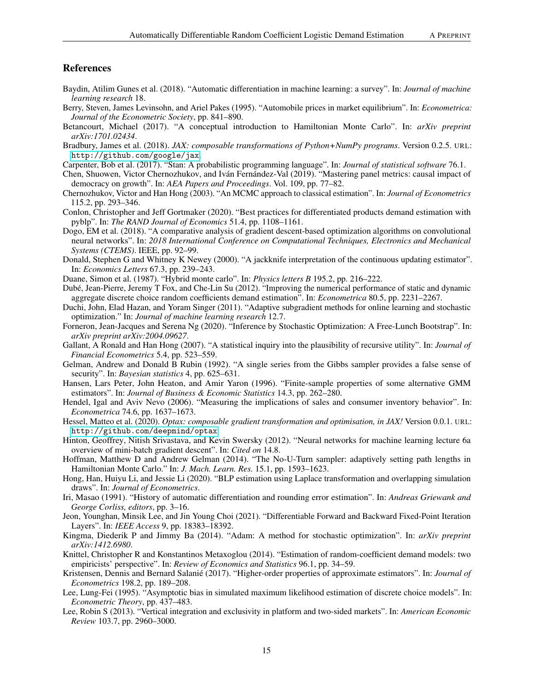# References

- <span id="page-14-16"></span>Baydin, Atilim Gunes et al. (2018). "Automatic differentiation in machine learning: a survey". In: *Journal of machine learning research* 18.
- <span id="page-14-0"></span>Berry, Steven, James Levinsohn, and Ariel Pakes (1995). "Automobile prices in market equilibrium". In: *Econometrica: Journal of the Econometric Society*, pp. 841–890.
- <span id="page-14-27"></span>Betancourt, Michael (2017). "A conceptual introduction to Hamiltonian Monte Carlo". In: *arXiv preprint arXiv:1701.02434*.
- <span id="page-14-14"></span>Bradbury, James et al. (2018). *JAX: composable transformations of Python+NumPy programs*. Version 0.2.5. URL: <http://github.com/google/jax>.
- <span id="page-14-25"></span>Carpenter, Bob et al. (2017). "Stan: A probabilistic programming language". In: *Journal of statistical software* 76.1.
- <span id="page-14-28"></span>Chen, Shuowen, Victor Chernozhukov, and Iván Fernández-Val (2019). "Mastering panel metrics: causal impact of democracy on growth". In: *AEA Papers and Proceedings*. Vol. 109, pp. 77–82.
- <span id="page-14-8"></span>Chernozhukov, Victor and Han Hong (2003). "An MCMC approach to classical estimation". In: *Journal of Econometrics* 115.2, pp. 293–346.
- <span id="page-14-1"></span>Conlon, Christopher and Jeff Gortmaker (2020). "Best practices for differentiated products demand estimation with pyblp". In: *The RAND Journal of Economics* 51.4, pp. 1108–1161.
- <span id="page-14-18"></span>Dogo, EM et al. (2018). "A comparative analysis of gradient descent-based optimization algorithms on convolutional neural networks". In: *2018 International Conference on Computational Techniques, Electronics and Mechanical Systems (CTEMS)*. IEEE, pp. 92–99.
- <span id="page-14-10"></span>Donald, Stephen G and Whitney K Newey (2000). "A jackknife interpretation of the continuous updating estimator". In: *Economics Letters* 67.3, pp. 239–243.
- <span id="page-14-23"></span>Duane, Simon et al. (1987). "Hybrid monte carlo". In: *Physics letters B* 195.2, pp. 216–222.
- <span id="page-14-5"></span>Dubé, Jean-Pierre, Jeremy T Fox, and Che-Lin Su (2012). "Improving the numerical performance of static and dynamic aggregate discrete choice random coefficients demand estimation". In: *Econometrica* 80.5, pp. 2231–2267.
- <span id="page-14-20"></span>Duchi, John, Elad Hazan, and Yoram Singer (2011). "Adaptive subgradient methods for online learning and stochastic optimization." In: *Journal of machine learning research* 12.7.
- <span id="page-14-4"></span>Forneron, Jean-Jacques and Serena Ng (2020). "Inference by Stochastic Optimization: A Free-Lunch Bootstrap". In: *arXiv preprint arXiv:2004.09627*.
- <span id="page-14-13"></span>Gallant, A Ronald and Han Hong (2007). "A statistical inquiry into the plausibility of recursive utility". In: *Journal of Financial Econometrics* 5.4, pp. 523–559.
- <span id="page-14-26"></span>Gelman, Andrew and Donald B Rubin (1992). "A single series from the Gibbs sampler provides a false sense of security". In: *Bayesian statistics* 4, pp. 625–631.
- <span id="page-14-9"></span>Hansen, Lars Peter, John Heaton, and Amir Yaron (1996). "Finite-sample properties of some alternative GMM estimators". In: *Journal of Business & Economic Statistics* 14.3, pp. 262–280.
- <span id="page-14-6"></span>Hendel, Igal and Aviv Nevo (2006). "Measuring the implications of sales and consumer inventory behavior". In: *Econometrica* 74.6, pp. 1637–1673.
- <span id="page-14-22"></span>Hessel, Matteo et al. (2020). *Optax: composable gradient transformation and optimisation, in JAX!* Version 0.0.1. URL: <http://github.com/deepmind/optax>.
- <span id="page-14-19"></span>Hinton, Geoffrey, Nitish Srivastava, and Kevin Swersky (2012). "Neural networks for machine learning lecture 6a overview of mini-batch gradient descent". In: *Cited on* 14.8.
- <span id="page-14-24"></span>Hoffman, Matthew D and Andrew Gelman (2014). "The No-U-Turn sampler: adaptively setting path lengths in Hamiltonian Monte Carlo." In: *J. Mach. Learn. Res.* 15.1, pp. 1593–1623.
- <span id="page-14-3"></span>Hong, Han, Huiyu Li, and Jessie Li (2020). "BLP estimation using Laplace transformation and overlapping simulation draws". In: *Journal of Econometrics*.
- <span id="page-14-15"></span>Iri, Masao (1991). "History of automatic differentiation and rounding error estimation". In: *Andreas Griewank and George Corliss, editors*, pp. 3–16.
- <span id="page-14-17"></span>Jeon, Younghan, Minsik Lee, and Jin Young Choi (2021). "Differentiable Forward and Backward Fixed-Point Iteration Layers". In: *IEEE Access* 9, pp. 18383–18392.
- <span id="page-14-21"></span>Kingma, Diederik P and Jimmy Ba (2014). "Adam: A method for stochastic optimization". In: *arXiv preprint arXiv:1412.6980*.
- <span id="page-14-2"></span>Knittel, Christopher R and Konstantinos Metaxoglou (2014). "Estimation of random-coefficient demand models: two empiricists' perspective". In: *Review of Economics and Statistics* 96.1, pp. 34–59.
- <span id="page-14-11"></span>Kristensen, Dennis and Bernard Salanié (2017). "Higher-order properties of approximate estimators". In: *Journal of Econometrics* 198.2, pp. 189–208.
- <span id="page-14-12"></span>Lee, Lung-Fei (1995). "Asymptotic bias in simulated maximum likelihood estimation of discrete choice models". In: *Econometric Theory*, pp. 437–483.
- <span id="page-14-7"></span>Lee, Robin S (2013). "Vertical integration and exclusivity in platform and two-sided markets". In: *American Economic Review* 103.7, pp. 2960–3000.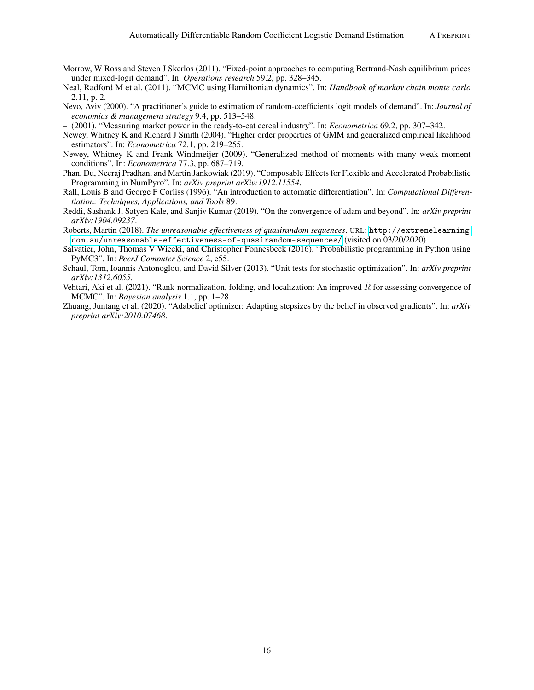- <span id="page-15-3"></span>Morrow, W Ross and Steven J Skerlos (2011). "Fixed-point approaches to computing Bertrand-Nash equilibrium prices under mixed-logit demand". In: *Operations research* 59.2, pp. 328–345.
- <span id="page-15-9"></span>Neal, Radford M et al. (2011). "MCMC using Hamiltonian dynamics". In: *Handbook of markov chain monte carlo* 2.11, p. 2.
- <span id="page-15-0"></span>Nevo, Aviv (2000). "A practitioner's guide to estimation of random-coefficients logit models of demand". In: *Journal of economics & management strategy* 9.4, pp. 513–548.
- <span id="page-15-5"></span>– (2001). "Measuring market power in the ready-to-eat cereal industry". In: *Econometrica* 69.2, pp. 307–342.
- <span id="page-15-1"></span>Newey, Whitney K and Richard J Smith (2004). "Higher order properties of GMM and generalized empirical likelihood estimators". In: *Econometrica* 72.1, pp. 219–255.
- <span id="page-15-2"></span>Newey, Whitney K and Frank Windmeijer (2009). "Generalized method of moments with many weak moment conditions". In: *Econometrica* 77.3, pp. 687–719.
- <span id="page-15-10"></span>Phan, Du, Neeraj Pradhan, and Martin Jankowiak (2019). "Composable Effects for Flexible and Accelerated Probabilistic Programming in NumPyro". In: *arXiv preprint arXiv:1912.11554*.
- <span id="page-15-4"></span>Rall, Louis B and George F Corliss (1996). "An introduction to automatic differentiation". In: *Computational Differentiation: Techniques, Applications, and Tools* 89.
- <span id="page-15-7"></span>Reddi, Sashank J, Satyen Kale, and Sanjiv Kumar (2019). "On the convergence of adam and beyond". In: *arXiv preprint arXiv:1904.09237*.
- <span id="page-15-13"></span>Roberts, Martin (2018). *The unreasonable effectiveness of quasirandom sequences*. URL: [http://extremelearning.](http://extremelearning.com.au/unreasonable-effectiveness-of-quasirandom-sequences/) [com.au/unreasonable-effectiveness-of-quasirandom-sequences/](http://extremelearning.com.au/unreasonable-effectiveness-of-quasirandom-sequences/) (visited on 03/20/2020).
- <span id="page-15-11"></span>Salvatier, John, Thomas V Wiecki, and Christopher Fonnesbeck (2016). "Probabilistic programming in Python using PyMC3". In: *PeerJ Computer Science* 2, e55.
- <span id="page-15-6"></span>Schaul, Tom, Ioannis Antonoglou, and David Silver (2013). "Unit tests for stochastic optimization". In: *arXiv preprint arXiv:1312.6055*.
- <span id="page-15-12"></span>Vehtari, Aki et al. (2021). "Rank-normalization, folding, and localization: An improved  $\hat{R}$  for assessing convergence of MCMC". In: *Bayesian analysis* 1.1, pp. 1–28.
- <span id="page-15-8"></span>Zhuang, Juntang et al. (2020). "Adabelief optimizer: Adapting stepsizes by the belief in observed gradients". In: *arXiv preprint arXiv:2010.07468*.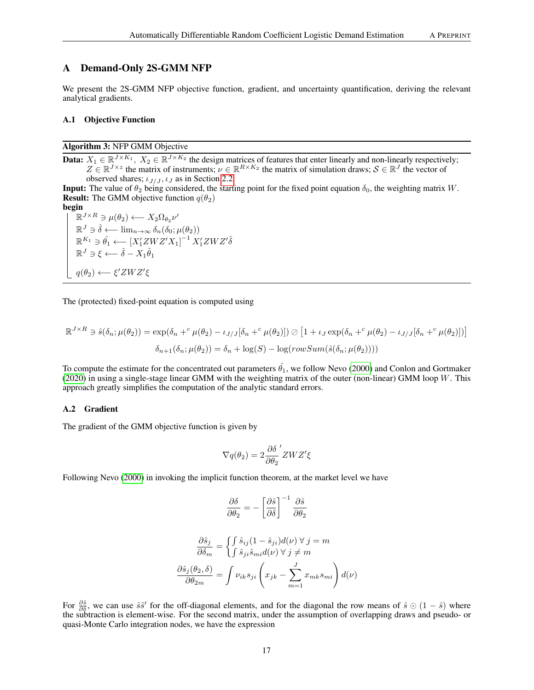<span id="page-16-0"></span>We present the 2S-GMM NFP objective function, gradient, and uncertainty quantification, deriving the relevant analytical gradients.

# A.1 Objective Function

Algorithm 3: NFP GMM Objective

**Data:**  $X_1 \in \mathbb{R}^{J \times K_1}$ ,  $X_2 \in \mathbb{R}^{J \times K_2}$  the design matrices of features that enter linearly and non-linearly respectively;  $Z \in \mathbb{R}^{J \times z}$  the matrix of instruments;  $\nu \in \mathbb{R}^{R \times K_2}$  the matrix of simulation draws;  $S \in \mathbb{R}^J$  the vector of observed shares;  $\iota_{J/J}$ ,  $\iota_J$  as in Section [2.2.](#page-2-0)

**Input:** The value of  $\theta_2$  being considered, the starting point for the fixed point equation  $\delta_0$ , the weighting matrix W. **Result:** The GMM objective function  $q(\theta_2)$ 

begin

 $\mathbb{R}^{J \times R} \ni \mu(\theta_2) \longleftarrow X_2 \Omega_{\theta_2} \nu'$  $\mathbb{R}^J \ni \hat{\delta} \longleftarrow \lim_{n \to \infty} \delta_n(\delta_0; \mu(\theta_2))$  $\mathbb{R}^{K_1} \ni \hat{\theta_1} \longleftarrow [X_1' ZWZ'X_1]^{-1} X_1' ZWZ' \hat{\delta}$  $\mathbb{R}^J \ni \xi \longleftarrow \hat{\delta} - X_1 \hat{\theta}_1$  $q(\theta_2) \longleftarrow \xi' ZWZ'\xi$ 

<span id="page-16-1"></span>The (protected) fixed-point equation is computed using

$$
\mathbb{R}^{J \times R} \ni \hat{s}(\delta_n; \mu(\theta_2)) = \exp(\delta_n +^c \mu(\theta_2) - \iota_{J/J}[\delta_n +^c \mu(\theta_2)]) \oslash [1 + \iota_J \exp(\delta_n +^c \mu(\theta_2) - \iota_{J/J}[\delta_n +^c \mu(\theta_2)])]
$$

$$
\delta_{n+1}(\delta_n; \mu(\theta_2)) = \delta_n + \log(S) - \log(rowSum(\hat{s}(\delta_n; \mu(\theta_2))))
$$

To compute the estimate for the concentrated out parameters  $\hat{\theta_1}$ , we follow Nevo [\(2000\)](#page-15-0) and Conlon and Gortmaker [\(2020\)](#page-14-1) in using a single-stage linear GMM with the weighting matrix of the outer (non-linear) GMM loop W. This approach greatly simplifies the computation of the analytic standard errors.

#### <span id="page-16-2"></span>A.2 Gradient

The gradient of the GMM objective function is given by

$$
\nabla q(\theta_2) = 2 \frac{\partial \delta}{\partial \theta_2}' ZWZ'\xi
$$

Following Nevo [\(2000\)](#page-15-0) in invoking the implicit function theorem, at the market level we have

$$
\frac{\partial \delta}{\partial \theta_2} = -\left[\frac{\partial \hat{s}}{\partial \delta}\right]^{-1} \frac{\partial \hat{s}}{\partial \theta_2}
$$

$$
\frac{\partial \hat{s}_j}{\partial \delta_m} = \begin{cases} \int \hat{s}_{ij} (1 - \hat{s}_{ji}) d(\nu) \ \forall \ j = m \\ \int \hat{s}_{ji} \hat{s}_{mi} d(\nu) \ \forall \ j \neq m \end{cases}
$$

$$
\frac{\partial \hat{s}_j (\theta_2, \delta)}{\partial \theta_{2m}} = \int \nu_{ik} s_{ji} \left( x_{jk} - \sum_{m=1}^J x_{mk} s_{mi} \right) d(\nu)
$$

For  $\frac{\partial \hat{s}}{\partial \hat{g}}$ , we can use  $\hat{s}\hat{s}'$  for the off-diagonal elements, and for the diagonal the row means of  $\hat{s} \odot (1-\hat{s})$  where the subtraction is element-wise. For the second matrix, under the assumption of overlapping draws and pseudo- or quasi-Monte Carlo integration nodes, we have the expression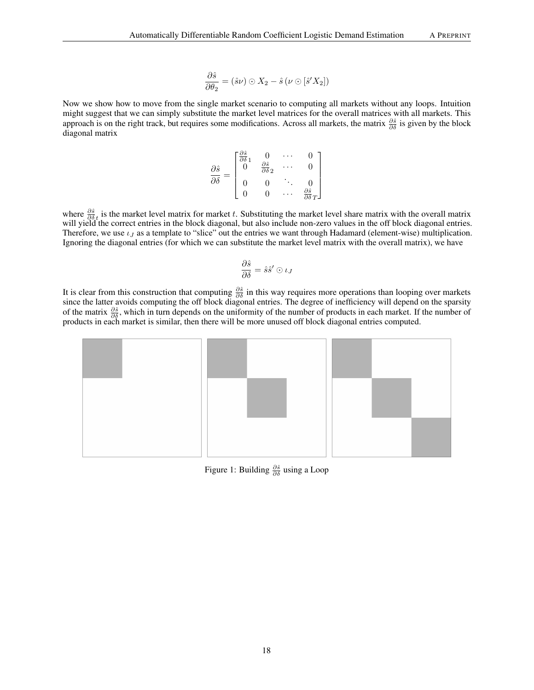$$
\frac{\partial \hat{s}}{\partial \theta_2} = (\hat{s}\nu) \odot X_2 - \hat{s} \left( \nu \odot [\hat{s}' X_2] \right)
$$

Now we show how to move from the single market scenario to computing all markets without any loops. Intuition might suggest that we can simply substitute the market level matrices for the overall matrices with all markets. This approach is on the right track, but requires some modifications. Across all markets, the matrix  $\frac{\partial \hat{s}}{\partial \delta}$  is given by the block diagonal matrix

$$
\frac{\partial \hat{s}}{\partial \delta} = \begin{bmatrix} \frac{\partial \hat{s}}{\partial \delta 1} & 0 & \cdots & 0 \\ 0 & \frac{\partial \hat{s}}{\partial \delta 2} & \cdots & 0 \\ 0 & 0 & \ddots & 0 \\ 0 & 0 & \cdots & \frac{\partial \hat{s}}{\partial \delta T} \end{bmatrix}
$$

where  $\frac{\partial \hat{s}}{\partial \delta_t}$  is the market level matrix for market t. Substituting the market level share matrix with the overall matrix will yield the correct entries in the block diagonal, but also include non-zero values in the off block diagonal entries. Therefore, we use  $\iota_J$  as a template to "slice" out the entries we want through Hadamard (element-wise) multiplication. Ignoring the diagonal entries (for which we can substitute the market level matrix with the overall matrix), we have

$$
\frac{\partial \hat{s}}{\partial \delta} = \hat{s} \hat{s}' \odot \iota_J
$$

It is clear from this construction that computing  $\frac{\partial \hat{s}}{\partial \delta}$  in this way requires more operations than looping over markets since the latter avoids computing the off block diagonal entries. The degree of inefficiency will depend on the sparsity of the matrix  $\frac{\partial \hat{s}}{\partial \hat{\rho}}$ , which in turn depends on the uniformity of the number of products in each market. If the number of products in each market is similar, then there will be more unused off block diagonal entries computed.



Figure 1: Building  $\frac{\partial \hat{s}}{\partial \delta}$  using a Loop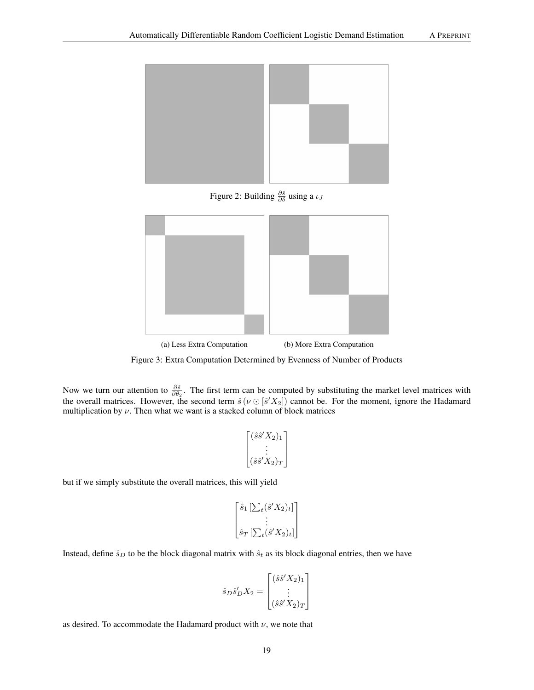

Figure 2: Building  $\frac{\partial \hat{s}}{\partial \delta}$  using a  $\iota_J$ 



Figure 3: Extra Computation Determined by Evenness of Number of Products

Now we turn our attention to  $\frac{\partial \hat{s}}{\partial \theta_2}$ . The first term can be computed by substituting the market level matrices with the overall matrices. However, the second term  $\hat{s}(\nu \odot [\hat{s}' X_2])$  cannot be. For the moment, ignore the Hadamard multiplication by  $\nu$ . Then what we want is a stacked column of block matrices

$$
\begin{bmatrix}\n(\hat{s}\hat{s}'X_2)_1 \\
\vdots \\
(\hat{s}\hat{s}'X_2)_T\n\end{bmatrix}
$$

but if we simply substitute the overall matrices, this will yield

$$
\begin{bmatrix} \hat{s}_1 \left[ \sum_t (\hat{s}' X_2)_t \right] \\ \vdots \\ \hat{s}_T \left[ \sum_t (\hat{s}' X_2)_t \right] \end{bmatrix}
$$

Instead, define  $\hat{s}_D$  to be the block diagonal matrix with  $\hat{s}_t$  as its block diagonal entries, then we have

$$
\hat{s}_D \hat{s}'_D X_2 = \begin{bmatrix} (\hat{s}\hat{s}' X_2)_1 \\ \vdots \\ (\hat{s}\hat{s}' X_2)_T \end{bmatrix}
$$

as desired. To accommodate the Hadamard product with  $\nu$ , we note that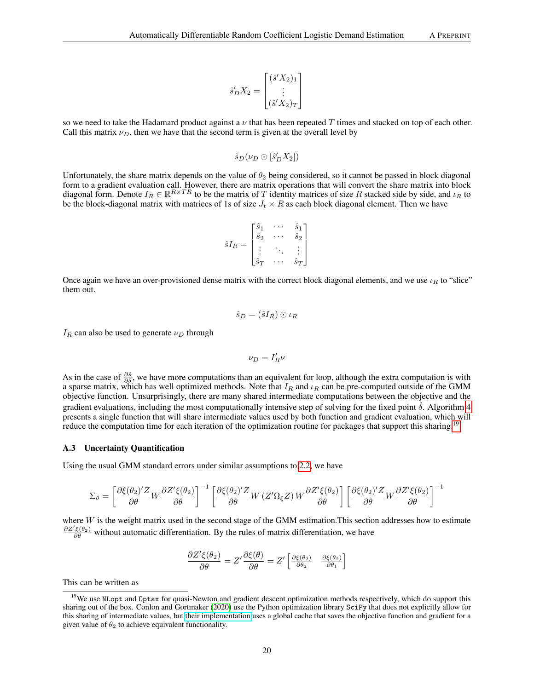$$
\hat{s}'_D X_2 = \begin{bmatrix} (\hat{s}' X_2)_1 \\ \vdots \\ (\hat{s}' X_2)_T \end{bmatrix}
$$

so we need to take the Hadamard product against a  $\nu$  that has been repeated T times and stacked on top of each other. Call this matrix  $\nu_D$ , then we have that the second term is given at the overall level by

$$
\hat{s}_D(\nu_D\odot[\hat{s}'_DX_2])
$$

Unfortunately, the share matrix depends on the value of  $\theta_2$  being considered, so it cannot be passed in block diagonal form to a gradient evaluation call. However, there are matrix operations that will convert the share matrix into block diagonal form. Denote  $I_R \in \mathbb{R}^{R \times TR}$  to be the matrix of T identity matrices of size R stacked side by side, and  $\iota_R$  to be the block-diagonal matrix with matrices of 1s of size  $J_t \times R$  as each block diagonal element. Then we have

$$
\hat{s}I_R = \begin{bmatrix} \hat{s}_1 & \cdots & \hat{s}_1 \\ \hat{s}_2 & \cdots & \hat{s}_2 \\ \vdots & \ddots & \vdots \\ \hat{s}_T & \cdots & \hat{s}_T \end{bmatrix}
$$

Once again we have an over-provisioned dense matrix with the correct block diagonal elements, and we use  $\iota_R$  to "slice" them out.

$$
\hat{s}_D = (\hat{s}I_R) \odot \iota_R
$$

 $I_R$  can also be used to generate  $\nu_D$  through

$$
\nu_D=I_R'\nu
$$

As in the case of  $\frac{\partial \hat{s}}{\partial \delta}$ , we have more computations than an equivalent for loop, although the extra computation is with a sparse matrix, which has well optimized methods. Note that  $I_R$  and  $\iota_R$  can be pre-computed outside of the GMM objective function. Unsurprisingly, there are many shared intermediate computations between the objective and the gradient evaluations, including the most computationally intensive step of solving for the fixed point  $\delta$ . Algorithm [4](#page-20-0) presents a single function that will share intermediate values used by both function and gradient evaluation, which will reduce the computation time for each iteration of the optimization routine for packages that support this sharing.<sup>[19](#page-19-0)</sup>

#### A.3 Uncertainty Quantification

Using the usual GMM standard errors under similar assumptions to [2.2,](#page-2-0) we have

$$
\Sigma_{\theta} = \left[ \frac{\partial \xi(\theta_2)'Z}{\partial \theta} W \frac{\partial Z' \xi(\theta_2)}{\partial \theta} \right]^{-1} \left[ \frac{\partial \xi(\theta_2)'Z}{\partial \theta} W \left( Z' \Omega_{\xi} Z \right) W \frac{\partial Z' \xi(\theta_2)}{\partial \theta} \right] \left[ \frac{\partial \xi(\theta_2)'Z}{\partial \theta} W \frac{\partial Z' \xi(\theta_2)}{\partial \theta} \right]^{-1}
$$

where  $W$  is the weight matrix used in the second stage of the GMM estimation. This section addresses how to estimate  $\frac{\partial Z'\xi(\theta_2)}{\partial \theta}$  without automatic differentiation. By the rules of matrix differentiation, we have

$$
\frac{\partial Z'\xi(\theta_2)}{\partial \theta} = Z'\frac{\partial \xi(\theta)}{\partial \theta} = Z'\left[\frac{\partial \xi(\theta_2)}{\partial \theta_2} \quad \frac{\partial \xi(\theta_2)}{\partial \theta_1}\right]
$$

This can be written as

<span id="page-19-0"></span><sup>&</sup>lt;sup>19</sup>We use NLopt and Optax for quasi-Newton and gradient descent optimization methods respectively, which do support this sharing out of the box. Conlon and Gortmaker [\(2020\)](#page-14-1) use the Python optimization library SciPy that does not explicitly allow for this sharing of intermediate values, but [their implementation](https://github.com/jeffgortmaker/pyblp/blob/master/pyblp/configurations/optimization.py) uses a global cache that saves the objective function and gradient for a given value of  $\theta_2$  to achieve equivalent functionality.